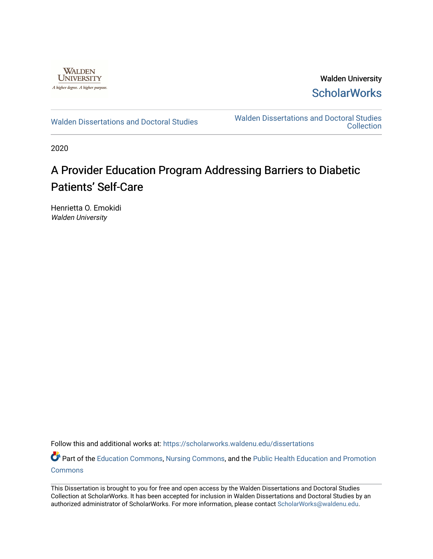

Walden University **ScholarWorks** 

[Walden Dissertations and Doctoral Studies](https://scholarworks.waldenu.edu/dissertations) Walden Dissertations and Doctoral Studies **Collection** 

2020

# A Provider Education Program Addressing Barriers to Diabetic Patients' Self-Care

Henrietta O. Emokidi Walden University

Follow this and additional works at: [https://scholarworks.waldenu.edu/dissertations](https://scholarworks.waldenu.edu/dissertations?utm_source=scholarworks.waldenu.edu%2Fdissertations%2F8283&utm_medium=PDF&utm_campaign=PDFCoverPages)

Part of the [Education Commons](http://network.bepress.com/hgg/discipline/784?utm_source=scholarworks.waldenu.edu%2Fdissertations%2F8283&utm_medium=PDF&utm_campaign=PDFCoverPages), [Nursing Commons,](http://network.bepress.com/hgg/discipline/718?utm_source=scholarworks.waldenu.edu%2Fdissertations%2F8283&utm_medium=PDF&utm_campaign=PDFCoverPages) and the [Public Health Education and Promotion](http://network.bepress.com/hgg/discipline/743?utm_source=scholarworks.waldenu.edu%2Fdissertations%2F8283&utm_medium=PDF&utm_campaign=PDFCoverPages) **[Commons](http://network.bepress.com/hgg/discipline/743?utm_source=scholarworks.waldenu.edu%2Fdissertations%2F8283&utm_medium=PDF&utm_campaign=PDFCoverPages)** 

This Dissertation is brought to you for free and open access by the Walden Dissertations and Doctoral Studies Collection at ScholarWorks. It has been accepted for inclusion in Walden Dissertations and Doctoral Studies by an authorized administrator of ScholarWorks. For more information, please contact [ScholarWorks@waldenu.edu](mailto:ScholarWorks@waldenu.edu).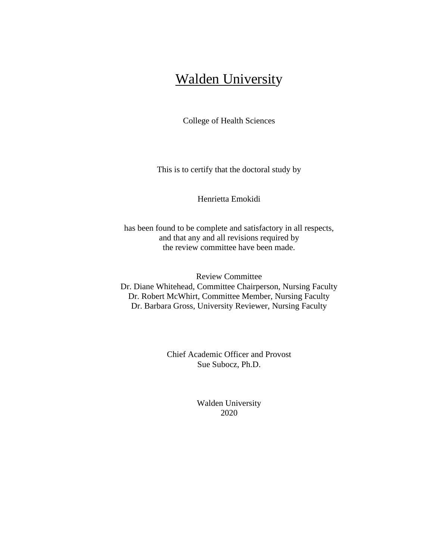# Walden University

College of Health Sciences

This is to certify that the doctoral study by

Henrietta Emokidi

has been found to be complete and satisfactory in all respects, and that any and all revisions required by the review committee have been made.

Review Committee Dr. Diane Whitehead, Committee Chairperson, Nursing Faculty Dr. Robert McWhirt, Committee Member, Nursing Faculty Dr. Barbara Gross, University Reviewer, Nursing Faculty

> Chief Academic Officer and Provost Sue Subocz, Ph.D.

> > Walden University 2020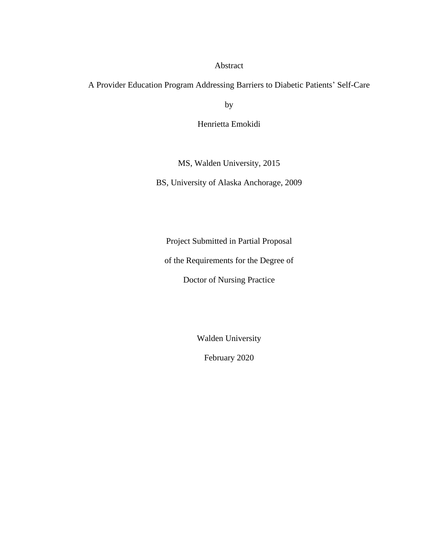## Abstract

A Provider Education Program Addressing Barriers to Diabetic Patients' Self-Care

by

Henrietta Emokidi

MS, Walden University, 2015

BS, University of Alaska Anchorage, 2009

Project Submitted in Partial Proposal

of the Requirements for the Degree of

Doctor of Nursing Practice

Walden University

February 2020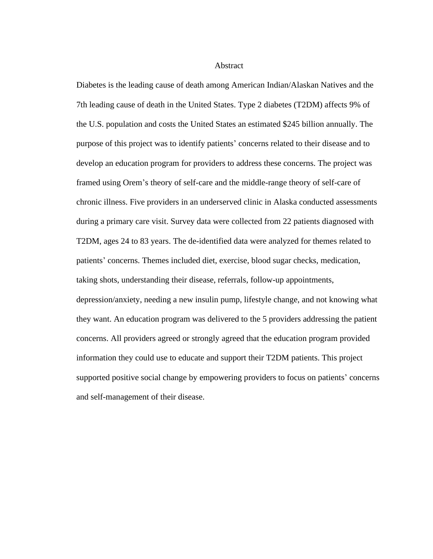Abstract

Diabetes is the leading cause of death among American Indian/Alaskan Natives and the 7th leading cause of death in the United States. Type 2 diabetes (T2DM) affects 9% of the U.S. population and costs the United States an estimated \$245 billion annually. The purpose of this project was to identify patients' concerns related to their disease and to develop an education program for providers to address these concerns. The project was framed using Orem's theory of self-care and the middle-range theory of self-care of chronic illness. Five providers in an underserved clinic in Alaska conducted assessments during a primary care visit. Survey data were collected from 22 patients diagnosed with T2DM, ages 24 to 83 years. The de-identified data were analyzed for themes related to patients' concerns. Themes included diet, exercise, blood sugar checks, medication, taking shots, understanding their disease, referrals, follow-up appointments, depression/anxiety, needing a new insulin pump, lifestyle change, and not knowing what they want. An education program was delivered to the 5 providers addressing the patient concerns. All providers agreed or strongly agreed that the education program provided information they could use to educate and support their T2DM patients. This project supported positive social change by empowering providers to focus on patients' concerns and self-management of their disease.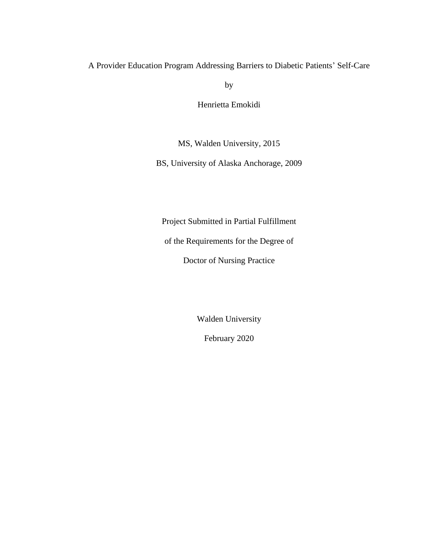A Provider Education Program Addressing Barriers to Diabetic Patients' Self-Care

by

Henrietta Emokidi

MS, Walden University, 2015

BS, University of Alaska Anchorage, 2009

Project Submitted in Partial Fulfillment

of the Requirements for the Degree of

Doctor of Nursing Practice

Walden University

February 2020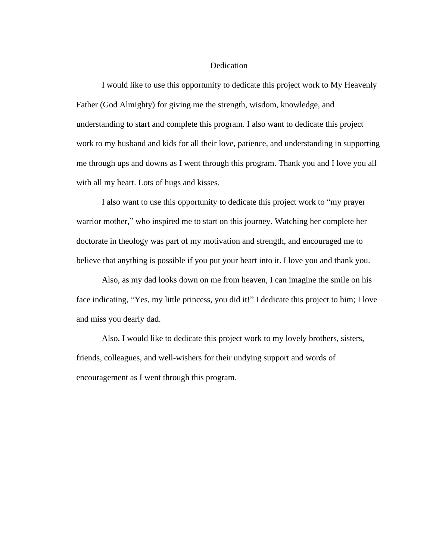## **Dedication**

I would like to use this opportunity to dedicate this project work to My Heavenly Father (God Almighty) for giving me the strength, wisdom, knowledge, and understanding to start and complete this program. I also want to dedicate this project work to my husband and kids for all their love, patience, and understanding in supporting me through ups and downs as I went through this program. Thank you and I love you all with all my heart. Lots of hugs and kisses.

I also want to use this opportunity to dedicate this project work to "my prayer warrior mother," who inspired me to start on this journey. Watching her complete her doctorate in theology was part of my motivation and strength, and encouraged me to believe that anything is possible if you put your heart into it. I love you and thank you.

Also, as my dad looks down on me from heaven, I can imagine the smile on his face indicating, "Yes, my little princess, you did it!" I dedicate this project to him; I love and miss you dearly dad.

Also, I would like to dedicate this project work to my lovely brothers, sisters, friends, colleagues, and well-wishers for their undying support and words of encouragement as I went through this program.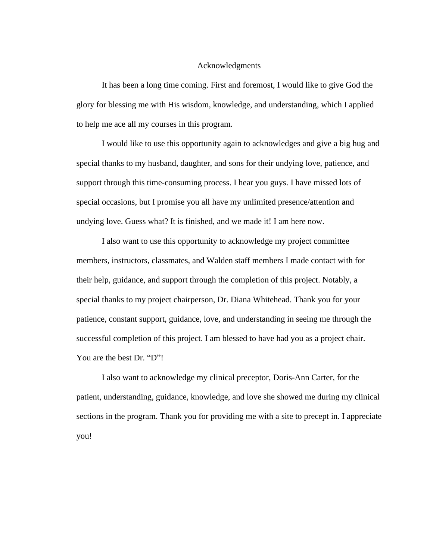## Acknowledgments

It has been a long time coming. First and foremost, I would like to give God the glory for blessing me with His wisdom, knowledge, and understanding, which I applied to help me ace all my courses in this program.

I would like to use this opportunity again to acknowledges and give a big hug and special thanks to my husband, daughter, and sons for their undying love, patience, and support through this time-consuming process. I hear you guys. I have missed lots of special occasions, but I promise you all have my unlimited presence/attention and undying love. Guess what? It is finished, and we made it! I am here now.

I also want to use this opportunity to acknowledge my project committee members, instructors, classmates, and Walden staff members I made contact with for their help, guidance, and support through the completion of this project. Notably, a special thanks to my project chairperson, Dr. Diana Whitehead. Thank you for your patience, constant support, guidance, love, and understanding in seeing me through the successful completion of this project. I am blessed to have had you as a project chair. You are the best Dr. "D"!

I also want to acknowledge my clinical preceptor, Doris-Ann Carter, for the patient, understanding, guidance, knowledge, and love she showed me during my clinical sections in the program. Thank you for providing me with a site to precept in. I appreciate you!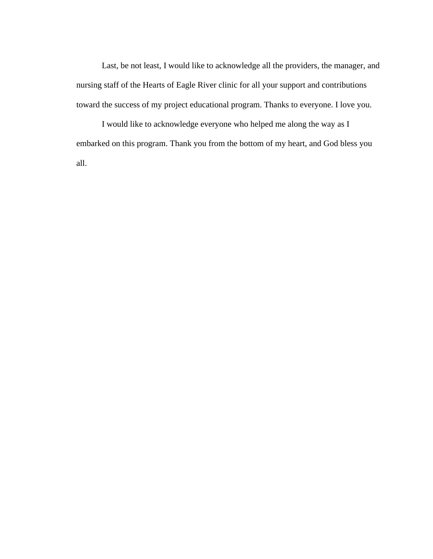Last, be not least, I would like to acknowledge all the providers, the manager, and nursing staff of the Hearts of Eagle River clinic for all your support and contributions toward the success of my project educational program. Thanks to everyone. I love you.

I would like to acknowledge everyone who helped me along the way as I embarked on this program. Thank you from the bottom of my heart, and God bless you all.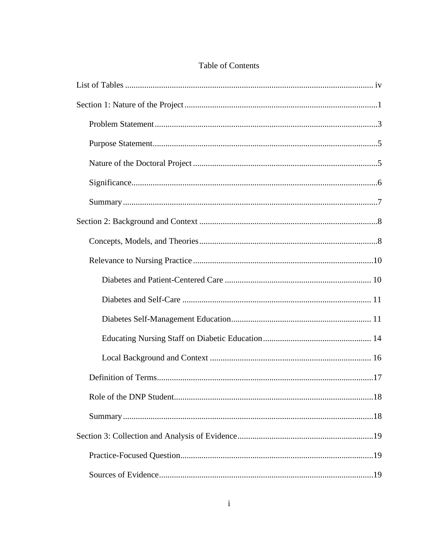# Table of Contents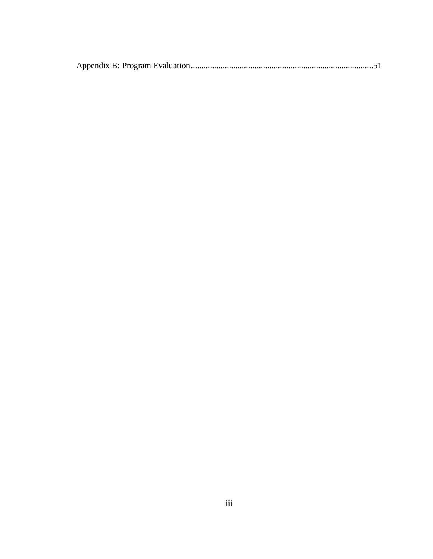|--|--|--|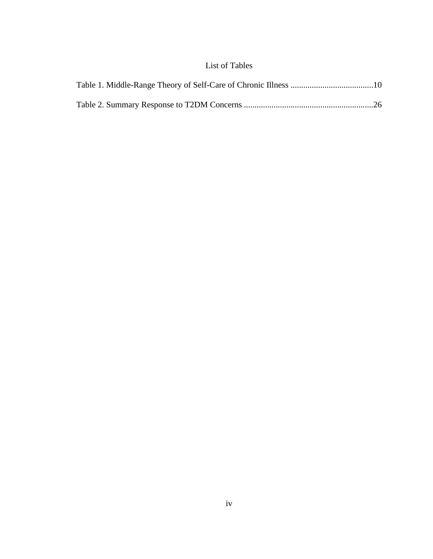# List of Tables

<span id="page-11-0"></span>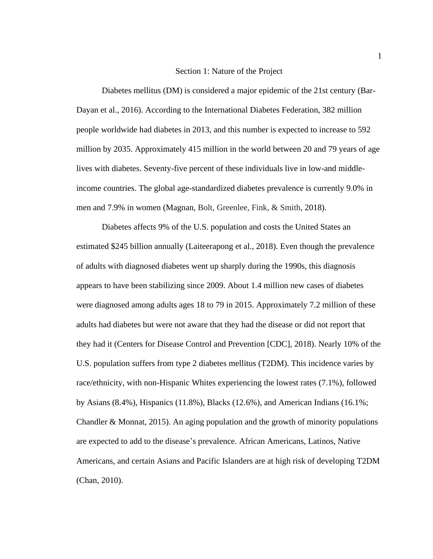## Section 1: Nature of the Project

<span id="page-12-0"></span>Diabetes mellitus (DM) is considered a major epidemic of the 21st century (Bar-Dayan et al., 2016). According to the International Diabetes Federation, 382 million people worldwide had diabetes in 2013, and this number is expected to increase to 592 million by 2035. Approximately 415 million in the world between 20 and 79 years of age lives with diabetes. Seventy-five percent of these individuals live in low-and middleincome countries. The global age-standardized diabetes prevalence is currently 9.0% in men and 7.9% in women (Magnan, Bolt, Greenlee, Fink, & Smith, 2018).

Diabetes affects 9% of the U.S. population and costs the United States an estimated \$245 billion annually (Laiteerapong et al., 2018). Even though the prevalence of adults with diagnosed diabetes went up sharply during the 1990s, this diagnosis appears to have been stabilizing since 2009. About 1.4 million new cases of diabetes were diagnosed among adults ages 18 to 79 in 2015. Approximately 7.2 million of these adults had diabetes but were not aware that they had the disease or did not report that they had it (Centers for Disease Control and Prevention [CDC], 2018). Nearly 10% of the U.S. population suffers from type 2 diabetes mellitus (T2DM). This incidence varies by race/ethnicity, with non-Hispanic Whites experiencing the lowest rates (7.1%), followed by Asians (8.4%), Hispanics (11.8%), Blacks (12.6%), and American Indians (16.1%; Chandler & Monnat, 2015). An aging population and the growth of minority populations are expected to add to the disease's prevalence. African Americans, Latinos, Native Americans, and certain Asians and Pacific Islanders are at high risk of developing T2DM (Chan, 2010).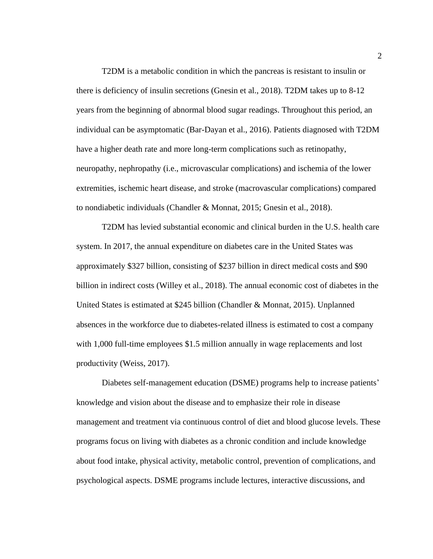T2DM is a metabolic condition in which the pancreas is resistant to insulin or there is deficiency of insulin secretions (Gnesin et al., 2018). T2DM takes up to 8-12 years from the beginning of abnormal blood sugar readings. Throughout this period, an individual can be asymptomatic (Bar-Dayan et al., 2016). Patients diagnosed with T2DM have a higher death rate and more long-term complications such as retinopathy, neuropathy, nephropathy (i.e., microvascular complications) and ischemia of the lower extremities, ischemic heart disease, and stroke (macrovascular complications) compared to nondiabetic individuals (Chandler & Monnat, 2015; Gnesin et al., 2018).

T2DM has levied substantial economic and clinical burden in the U.S. health care system. In 2017, the annual expenditure on diabetes care in the United States was approximately \$327 billion, consisting of \$237 billion in direct medical costs and \$90 billion in indirect costs (Willey et al., 2018). The annual economic cost of diabetes in the United States is estimated at \$245 billion (Chandler & Monnat, 2015). Unplanned absences in the workforce due to diabetes-related illness is estimated to cost a company with 1,000 full-time employees \$1.5 million annually in wage replacements and lost productivity (Weiss, 2017).

Diabetes self-management education (DSME) programs help to increase patients' knowledge and vision about the disease and to emphasize their role in disease management and treatment via continuous control of diet and blood glucose levels. These programs focus on living with diabetes as a chronic condition and include knowledge about food intake, physical activity, metabolic control, prevention of complications, and psychological aspects. DSME programs include lectures, interactive discussions, and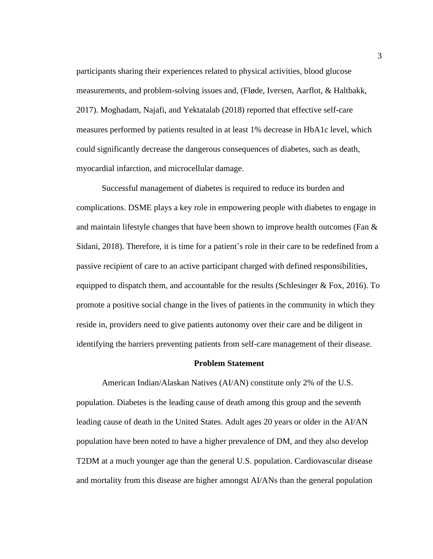participants sharing their experiences related to physical activities, blood glucose measurements, and problem-solving issues and, (Fløde, Iversen, Aarflot, & Haltbakk, 2017). Moghadam, Najafi, and Yektatalab (2018) reported that effective self-care measures performed by patients resulted in at least 1% decrease in HbA1c level, which could significantly decrease the dangerous consequences of diabetes, such as death, myocardial infarction, and microcellular damage.

Successful management of diabetes is required to reduce its burden and complications. DSME plays a key role in empowering people with diabetes to engage in and maintain lifestyle changes that have been shown to improve health outcomes (Fan  $\&$ Sidani, 2018). Therefore, it is time for a patient's role in their care to be redefined from a passive recipient of care to an active participant charged with defined responsibilities, equipped to dispatch them, and accountable for the results (Schlesinger & Fox, 2016). To promote a positive social change in the lives of patients in the community in which they reside in, providers need to give patients autonomy over their care and be diligent in identifying the barriers preventing patients from self-care management of their disease.

#### **Problem Statement**

<span id="page-14-0"></span>American Indian/Alaskan Natives (AI/AN) constitute only 2% of the U.S. population. Diabetes is the leading cause of death among this group and the seventh leading cause of death in the United States. Adult ages 20 years or older in the AI/AN population have been noted to have a higher prevalence of DM, and they also develop T2DM at a much younger age than the general U.S. population. Cardiovascular disease and mortality from this disease are higher amongst AI/ANs than the general population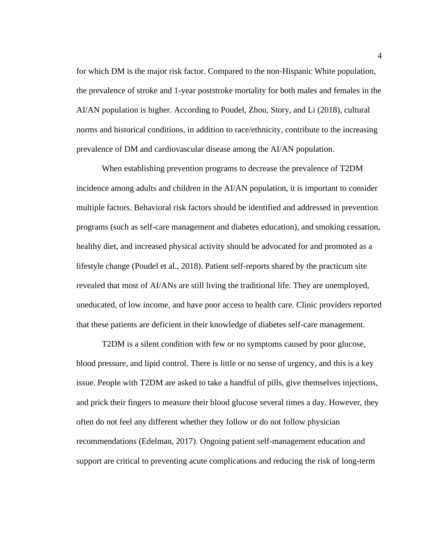for which DM is the major risk factor. Compared to the non-Hispanic White population, the prevalence of stroke and 1-year poststroke mortality for both males and females in the AI/AN population is higher. According to Poudel, Zhou, Story, and Li (2018), cultural norms and historical conditions, in addition to race/ethnicity, contribute to the increasing prevalence of DM and cardiovascular disease among the AI/AN population.

When establishing prevention programs to decrease the prevalence of T2DM incidence among adults and children in the AI/AN population, it is important to consider multiple factors. Behavioral risk factors should be identified and addressed in prevention programs (such as self-care management and diabetes education), and smoking cessation, healthy diet, and increased physical activity should be advocated for and promoted as a lifestyle change (Poudel et al., 2018). Patient self-reports shared by the practicum site revealed that most of AI/ANs are still living the traditional life. They are unemployed, uneducated, of low income, and have poor access to health care. Clinic providers reported that these patients are deficient in their knowledge of diabetes self-care management.

T2DM is a silent condition with few or no symptoms caused by poor glucose, blood pressure, and lipid control. There is little or no sense of urgency, and this is a key issue. People with T2DM are asked to take a handful of pills, give themselves injections, and prick their fingers to measure their blood glucose several times a day. However, they often do not feel any different whether they follow or do not follow physician recommendations (Edelman, 2017). Ongoing patient self-management education and support are critical to preventing acute complications and reducing the risk of long-term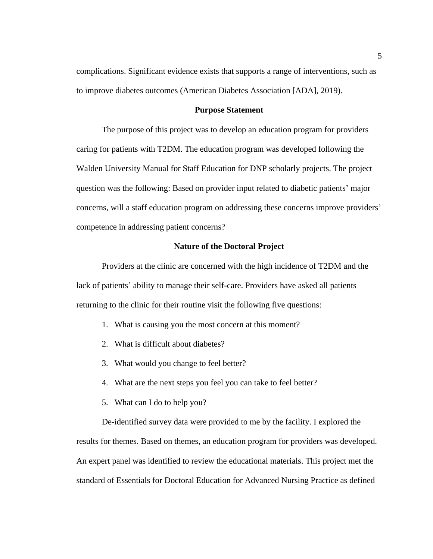complications. Significant evidence exists that supports a range of interventions, such as to improve diabetes outcomes (American Diabetes Association [ADA], 2019).

#### **Purpose Statement**

<span id="page-16-0"></span>The purpose of this project was to develop an education program for providers caring for patients with T2DM. The education program was developed following the Walden University Manual for Staff Education for DNP scholarly projects. The project question was the following: Based on provider input related to diabetic patients' major concerns, will a staff education program on addressing these concerns improve providers' competence in addressing patient concerns?

## **Nature of the Doctoral Project**

<span id="page-16-1"></span>Providers at the clinic are concerned with the high incidence of T2DM and the lack of patients' ability to manage their self-care. Providers have asked all patients returning to the clinic for their routine visit the following five questions:

- 1. What is causing you the most concern at this moment?
- 2. What is difficult about diabetes?
- 3. What would you change to feel better?
- 4. What are the next steps you feel you can take to feel better?
- 5. What can I do to help you?

De-identified survey data were provided to me by the facility. I explored the results for themes. Based on themes, an education program for providers was developed. An expert panel was identified to review the educational materials. This project met the standard of Essentials for Doctoral Education for Advanced Nursing Practice as defined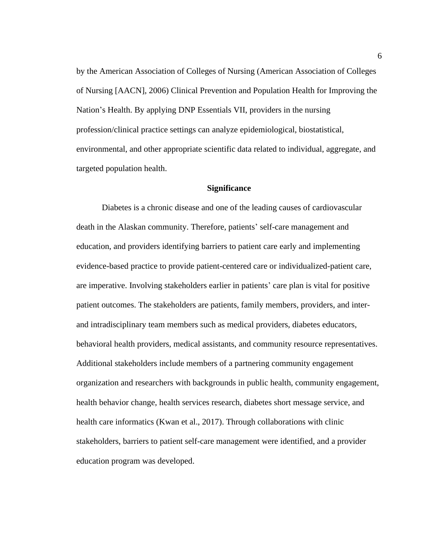by the American Association of Colleges of Nursing (American Association of Colleges of Nursing [AACN], 2006) Clinical Prevention and Population Health for Improving the Nation's Health. By applying DNP Essentials VII, providers in the nursing profession/clinical practice settings can analyze epidemiological, biostatistical, environmental, and other appropriate scientific data related to individual, aggregate, and targeted population health.

### **Significance**

<span id="page-17-0"></span>Diabetes is a chronic disease and one of the leading causes of cardiovascular death in the Alaskan community. Therefore, patients' self-care management and education, and providers identifying barriers to patient care early and implementing evidence-based practice to provide patient-centered care or individualized-patient care, are imperative. Involving stakeholders earlier in patients' care plan is vital for positive patient outcomes. The stakeholders are patients, family members, providers, and interand intradisciplinary team members such as medical providers, diabetes educators, behavioral health providers, medical assistants, and community resource representatives. Additional stakeholders include members of a partnering community engagement organization and researchers with backgrounds in public health, community engagement, health behavior change, health services research, diabetes short message service, and health care informatics (Kwan et al., 2017). Through collaborations with clinic stakeholders, barriers to patient self-care management were identified, and a provider education program was developed.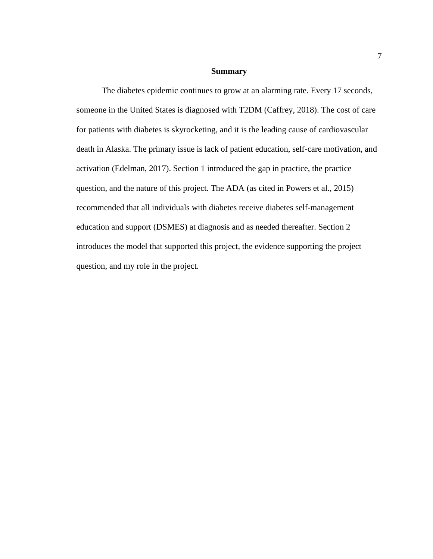#### **Summary**

<span id="page-18-0"></span>The diabetes epidemic continues to grow at an alarming rate. Every 17 seconds, someone in the United States is diagnosed with T2DM (Caffrey, 2018). The cost of care for patients with diabetes is skyrocketing, and it is the leading cause of cardiovascular death in Alaska. The primary issue is lack of patient education, self-care motivation, and activation (Edelman, 2017). Section 1 introduced the gap in practice, the practice question, and the nature of this project. The ADA (as cited in Powers et al., 2015) recommended that all individuals with diabetes receive diabetes self-management education and support (DSMES) at diagnosis and as needed thereafter. Section 2 introduces the model that supported this project, the evidence supporting the project question, and my role in the project.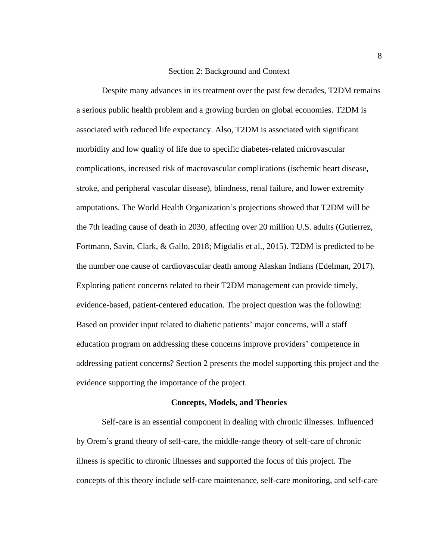### Section 2: Background and Context

<span id="page-19-0"></span>Despite many advances in its treatment over the past few decades, T2DM remains a serious public health problem and a growing burden on global economies. T2DM is associated with reduced life expectancy. Also, T2DM is associated with significant morbidity and low quality of life due to specific diabetes-related microvascular complications, increased risk of macrovascular complications (ischemic heart disease, stroke, and peripheral vascular disease), blindness, renal failure, and lower extremity amputations. The World Health Organization's projections showed that T2DM will be the 7th leading cause of death in 2030, affecting over 20 million U.S. adults (Gutierrez, Fortmann, Savin, Clark, & Gallo, 2018; Migdalis et al., 2015). T2DM is predicted to be the number one cause of cardiovascular death among Alaskan Indians (Edelman, 2017). Exploring patient concerns related to their T2DM management can provide timely, evidence-based, patient-centered education. The project question was the following: Based on provider input related to diabetic patients' major concerns, will a staff education program on addressing these concerns improve providers' competence in addressing patient concerns? Section 2 presents the model supporting this project and the evidence supporting the importance of the project.

#### **Concepts, Models, and Theories**

<span id="page-19-1"></span>Self-care is an essential component in dealing with chronic illnesses. Influenced by Orem's grand theory of self-care, the middle-range theory of self-care of chronic illness is specific to chronic illnesses and supported the focus of this project. The concepts of this theory include self-care maintenance, self-care monitoring, and self-care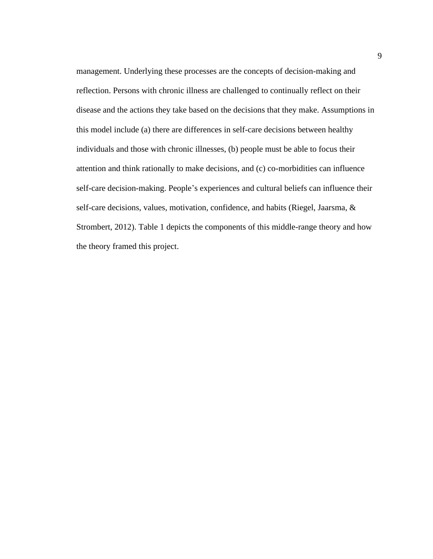management. Underlying these processes are the concepts of decision-making and reflection. Persons with chronic illness are challenged to continually reflect on their disease and the actions they take based on the decisions that they make. Assumptions in this model include (a) there are differences in self-care decisions between healthy individuals and those with chronic illnesses, (b) people must be able to focus their attention and think rationally to make decisions, and (c) co-morbidities can influence self-care decision-making. People's experiences and cultural beliefs can influence their self-care decisions, values, motivation, confidence, and habits (Riegel, Jaarsma, & Strombert, 2012). Table 1 depicts the components of this middle-range theory and how the theory framed this project.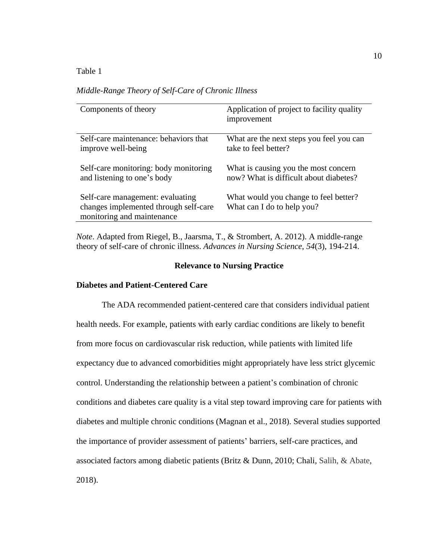## <span id="page-21-2"></span>Table 1

| Middle-Range Theory of Self-Care of Chronic Illness |  |  |
|-----------------------------------------------------|--|--|
|                                                     |  |  |

| Components of theory                                                                                    | Application of project to facility quality<br>improvement           |
|---------------------------------------------------------------------------------------------------------|---------------------------------------------------------------------|
| Self-care maintenance: behaviors that                                                                   | What are the next steps you feel you can                            |
| improve well-being                                                                                      | take to feel better?                                                |
| Self-care monitoring: body monitoring                                                                   | What is causing you the most concern                                |
| and listening to one's body                                                                             | now? What is difficult about diabetes?                              |
| Self-care management: evaluating<br>changes implemented through self-care<br>monitoring and maintenance | What would you change to feel better?<br>What can I do to help you? |

*Note*. Adapted from Riegel, B., Jaarsma, T., & Strombert, A. 2012). A middle-range theory of self-care of chronic illness. *Advances in Nursing Science*, *54*(3), 194-214.

## **Relevance to Nursing Practice**

## <span id="page-21-1"></span><span id="page-21-0"></span>**Diabetes and Patient-Centered Care**

The ADA recommended patient-centered care that considers individual patient health needs. For example, patients with early cardiac conditions are likely to benefit from more focus on cardiovascular risk reduction, while patients with limited life expectancy due to advanced comorbidities might appropriately have less strict glycemic control. Understanding the relationship between a patient's combination of chronic conditions and diabetes care quality is a vital step toward improving care for patients with diabetes and multiple chronic conditions (Magnan et al., 2018). Several studies supported the importance of provider assessment of patients' barriers, self-care practices, and associated factors among diabetic patients (Britz & Dunn, 2010; Chali, Salih, & Abate, 2018).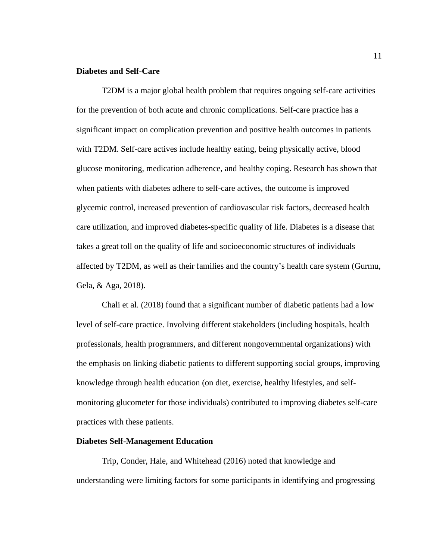## <span id="page-22-0"></span>**Diabetes and Self-Care**

T2DM is a major global health problem that requires ongoing self-care activities for the prevention of both acute and chronic complications. Self-care practice has a significant impact on complication prevention and positive health outcomes in patients with T2DM. Self-care actives include healthy eating, being physically active, blood glucose monitoring, medication adherence, and healthy coping. Research has shown that when patients with diabetes adhere to self-care actives, the outcome is improved glycemic control, increased prevention of cardiovascular risk factors, decreased health care utilization, and improved diabetes-specific quality of life. Diabetes is a disease that takes a great toll on the quality of life and socioeconomic structures of individuals affected by T2DM, as well as their families and the country's health care system (Gurmu, Gela, & Aga, 2018).

Chali et al. (2018) found that a significant number of diabetic patients had a low level of self-care practice. Involving different stakeholders (including hospitals, health professionals, health programmers, and different nongovernmental organizations) with the emphasis on linking diabetic patients to different supporting social groups, improving knowledge through health education (on diet, exercise, healthy lifestyles, and selfmonitoring glucometer for those individuals) contributed to improving diabetes self-care practices with these patients.

#### <span id="page-22-1"></span>**Diabetes Self-Management Education**

Trip, Conder, Hale, and Whitehead (2016) noted that knowledge and understanding were limiting factors for some participants in identifying and progressing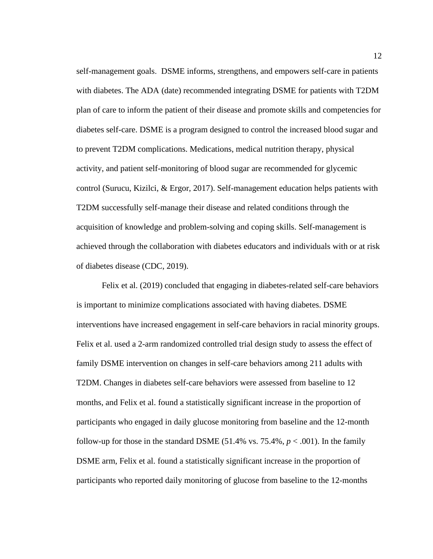self-management goals. DSME informs, strengthens, and empowers self-care in patients with diabetes. The ADA (date) recommended integrating DSME for patients with T2DM plan of care to inform the patient of their disease and promote skills and competencies for diabetes self-care. DSME is a program designed to control the increased blood sugar and to prevent T2DM complications. Medications, medical nutrition therapy, physical activity, and patient self-monitoring of blood sugar are recommended for glycemic control (Surucu, Kizilci, & Ergor, 2017). Self-management education helps patients with T2DM successfully self-manage their disease and related conditions through the acquisition of knowledge and problem-solving and coping skills. Self-management is achieved through the collaboration with diabetes educators and individuals with or at risk of diabetes disease (CDC, 2019).

Felix et al. (2019) concluded that engaging in diabetes-related self-care behaviors is important to minimize complications associated with having diabetes. DSME interventions have increased engagement in self-care behaviors in racial minority groups. Felix et al. used a 2-arm randomized controlled trial design study to assess the effect of family DSME intervention on changes in self-care behaviors among 211 adults with T2DM. Changes in diabetes self-care behaviors were assessed from baseline to 12 months, and Felix et al. found a statistically significant increase in the proportion of participants who engaged in daily glucose monitoring from baseline and the 12-month follow-up for those in the standard DSME  $(51.4\% \text{ vs. } 75.4\%, p < .001)$ . In the family DSME arm, Felix et al. found a statistically significant increase in the proportion of participants who reported daily monitoring of glucose from baseline to the 12-months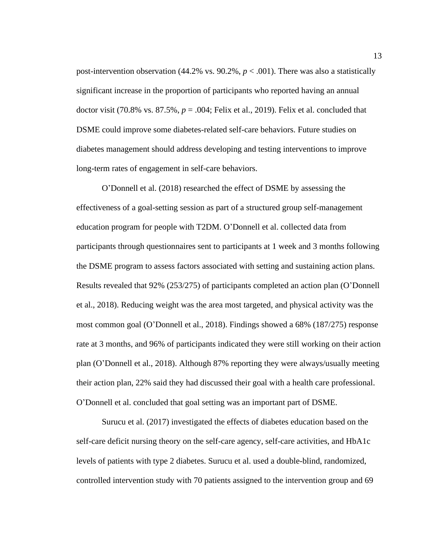post-intervention observation (44.2% vs. 90.2%,  $p < .001$ ). There was also a statistically significant increase in the proportion of participants who reported having an annual doctor visit (70.8% vs.  $87.5\%$ ,  $p = .004$ ; Felix et al., 2019). Felix et al. concluded that DSME could improve some diabetes-related self-care behaviors. Future studies on diabetes management should address developing and testing interventions to improve long-term rates of engagement in self-care behaviors.

O'Donnell et al. (2018) researched the effect of DSME by assessing the effectiveness of a goal-setting session as part of a structured group self-management education program for people with T2DM. O'Donnell et al. collected data from participants through questionnaires sent to participants at 1 week and 3 months following the DSME program to assess factors associated with setting and sustaining action plans. Results revealed that 92% (253/275) of participants completed an action plan (O'Donnell et al., 2018). Reducing weight was the area most targeted, and physical activity was the most common goal (O'Donnell et al., 2018). Findings showed a 68% (187/275) response rate at 3 months, and 96% of participants indicated they were still working on their action plan (O'Donnell et al., 2018). Although 87% reporting they were always/usually meeting their action plan, 22% said they had discussed their goal with a health care professional. O'Donnell et al. concluded that goal setting was an important part of DSME.

Surucu et al. (2017) investigated the effects of diabetes education based on the self-care deficit nursing theory on the self-care agency, self-care activities, and HbA1c levels of patients with type 2 diabetes. Surucu et al. used a double-blind, randomized, controlled intervention study with 70 patients assigned to the intervention group and 69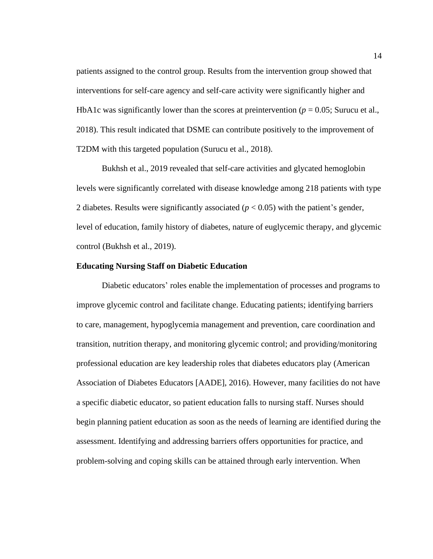patients assigned to the control group. Results from the intervention group showed that interventions for self-care agency and self-care activity were significantly higher and HbA1c was significantly lower than the scores at preintervention ( $p = 0.05$ ; Surucu et al., 2018). This result indicated that DSME can contribute positively to the improvement of T2DM with this targeted population (Surucu et al., 2018).

Bukhsh et al., 2019 revealed that self-care activities and glycated hemoglobin levels were significantly correlated with disease knowledge among 218 patients with type 2 diabetes. Results were significantly associated  $(p < 0.05)$  with the patient's gender, level of education, family history of diabetes, nature of euglycemic therapy, and glycemic control (Bukhsh et al., 2019).

## <span id="page-25-0"></span>**Educating Nursing Staff on Diabetic Education**

Diabetic educators' roles enable the implementation of processes and programs to improve glycemic control and facilitate change. Educating patients; identifying barriers to care, management, hypoglycemia management and prevention, care coordination and transition, nutrition therapy, and monitoring glycemic control; and providing/monitoring professional education are key leadership roles that diabetes educators play (American Association of Diabetes Educators [AADE], 2016). However, many facilities do not have a specific diabetic educator, so patient education falls to nursing staff. Nurses should begin planning patient education as soon as the needs of learning are identified during the assessment. Identifying and addressing barriers offers opportunities for practice, and problem-solving and coping skills can be attained through early intervention. When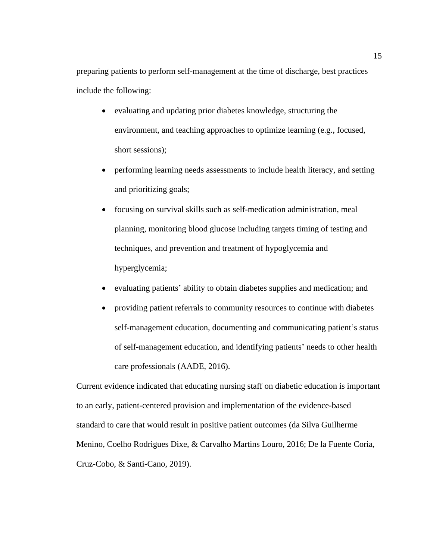preparing patients to perform self-management at the time of discharge, best practices include the following:

- evaluating and updating prior diabetes knowledge, structuring the environment, and teaching approaches to optimize learning (e.g., focused, short sessions);
- performing learning needs assessments to include health literacy, and setting and prioritizing goals;
- focusing on survival skills such as self-medication administration, meal planning, monitoring blood glucose including targets timing of testing and techniques, and prevention and treatment of hypoglycemia and hyperglycemia;
- evaluating patients' ability to obtain diabetes supplies and medication; and
- providing patient referrals to community resources to continue with diabetes self-management education, documenting and communicating patient's status of self-management education, and identifying patients' needs to other health care professionals (AADE, 2016).

Current evidence indicated that educating nursing staff on diabetic education is important to an early, patient-centered provision and implementation of the evidence-based standard to care that would result in positive patient outcomes (da Silva Guilherme Menino, Coelho Rodrigues Dixe, & Carvalho Martins Louro, 2016; De la Fuente Coria, Cruz-Cobo, & Santi-Cano, 2019).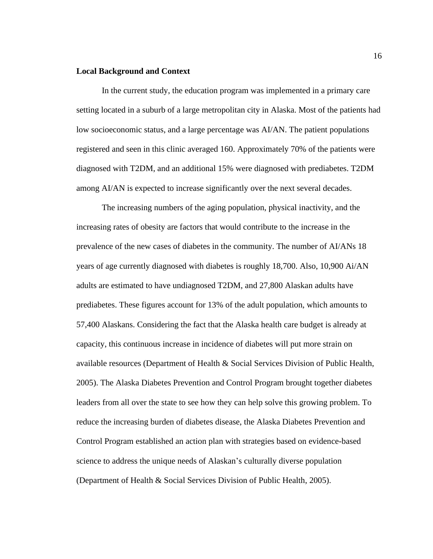## <span id="page-27-0"></span>**Local Background and Context**

In the current study, the education program was implemented in a primary care setting located in a suburb of a large metropolitan city in Alaska. Most of the patients had low socioeconomic status, and a large percentage was AI/AN. The patient populations registered and seen in this clinic averaged 160. Approximately 70% of the patients were diagnosed with T2DM, and an additional 15% were diagnosed with prediabetes. T2DM among AI/AN is expected to increase significantly over the next several decades.

The increasing numbers of the aging population, physical inactivity, and the increasing rates of obesity are factors that would contribute to the increase in the prevalence of the new cases of diabetes in the community. The number of AI/ANs 18 years of age currently diagnosed with diabetes is roughly 18,700. Also, 10,900 Ai/AN adults are estimated to have undiagnosed T2DM, and 27,800 Alaskan adults have prediabetes. These figures account for 13% of the adult population, which amounts to 57,400 Alaskans. Considering the fact that the Alaska health care budget is already at capacity, this continuous increase in incidence of diabetes will put more strain on available resources (Department of Health & Social Services Division of Public Health, 2005). The Alaska Diabetes Prevention and Control Program brought together diabetes leaders from all over the state to see how they can help solve this growing problem. To reduce the increasing burden of diabetes disease, the Alaska Diabetes Prevention and Control Program established an action plan with strategies based on evidence-based science to address the unique needs of Alaskan's culturally diverse population (Department of Health & Social Services Division of Public Health, 2005).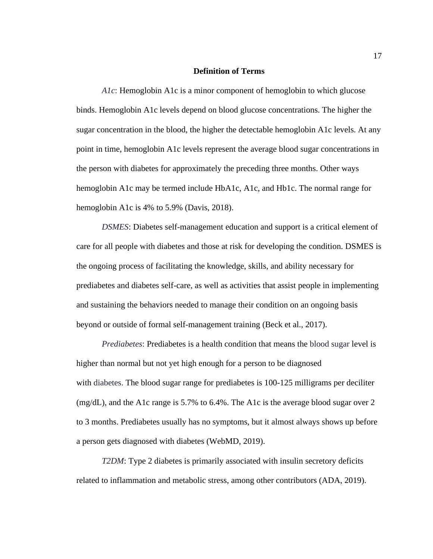#### **Definition of Terms**

<span id="page-28-0"></span>*A1c*: Hemoglobin A1c is a minor component of hemoglobin to which glucose binds. Hemoglobin A1c levels depend on blood glucose concentrations. The higher the sugar concentration in the blood, the higher the detectable hemoglobin A1c levels. At any point in time, hemoglobin A1c levels represent the average blood sugar concentrations in the person with diabetes for approximately the preceding three months. Other ways hemoglobin A1c may be termed include HbA1c, A1c, and Hb1c. The normal range for hemoglobin A1c is 4% to 5.9% (Davis, 2018).

*DSMES*: Diabetes self-management education and support is a critical element of care for all people with diabetes and those at risk for developing the condition. DSMES is the ongoing process of facilitating the knowledge, skills, and ability necessary for prediabetes and diabetes self-care, as well as activities that assist people in implementing and sustaining the behaviors needed to manage their condition on an ongoing basis beyond or outside of formal self-management training (Beck et al., 2017).

*Prediabetes*: Prediabetes is a health condition that means the blood sugar level is higher than normal but not yet high enough for a person to be diagnosed with diabetes. The blood sugar range for prediabetes is 100-125 milligrams per deciliter (mg/dL), and the A1c range is 5.7% to 6.4%. The A1c is the average blood sugar over 2 to 3 months. Prediabetes usually has no symptoms, but it almost always shows up before a person gets diagnosed with diabetes (WebMD, 2019).

*T2DM*: Type 2 diabetes is primarily associated with insulin secretory deficits related to inflammation and metabolic stress, among other contributors (ADA, 2019).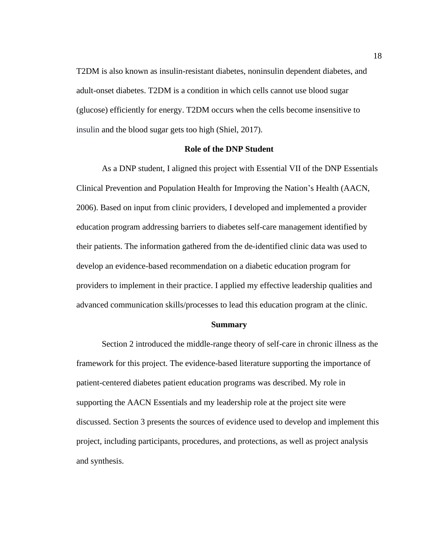T2DM is also known as insulin-resistant diabetes, noninsulin dependent diabetes, and adult-onset diabetes. T2DM is a condition in which cells cannot use blood sugar (glucose) efficiently for energy. T2DM occurs when the cells become insensitive to insulin and the blood sugar gets too high (Shiel, 2017).

#### **Role of the DNP Student**

<span id="page-29-0"></span>As a DNP student, I aligned this project with Essential VII of the DNP Essentials Clinical Prevention and Population Health for Improving the Nation's Health (AACN, 2006). Based on input from clinic providers, I developed and implemented a provider education program addressing barriers to diabetes self-care management identified by their patients. The information gathered from the de-identified clinic data was used to develop an evidence-based recommendation on a diabetic education program for providers to implement in their practice. I applied my effective leadership qualities and advanced communication skills/processes to lead this education program at the clinic.

#### **Summary**

<span id="page-29-1"></span>Section 2 introduced the middle-range theory of self-care in chronic illness as the framework for this project. The evidence-based literature supporting the importance of patient-centered diabetes patient education programs was described. My role in supporting the AACN Essentials and my leadership role at the project site were discussed. Section 3 presents the sources of evidence used to develop and implement this project, including participants, procedures, and protections, as well as project analysis and synthesis.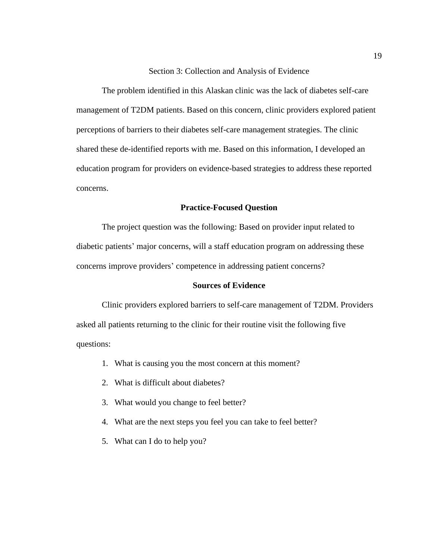Section 3: Collection and Analysis of Evidence

<span id="page-30-0"></span>The problem identified in this Alaskan clinic was the lack of diabetes self-care management of T2DM patients. Based on this concern, clinic providers explored patient perceptions of barriers to their diabetes self-care management strategies. The clinic shared these de-identified reports with me. Based on this information, I developed an education program for providers on evidence-based strategies to address these reported concerns.

## **Practice-Focused Question**

<span id="page-30-1"></span>The project question was the following: Based on provider input related to diabetic patients' major concerns, will a staff education program on addressing these concerns improve providers' competence in addressing patient concerns?

#### **Sources of Evidence**

<span id="page-30-2"></span>Clinic providers explored barriers to self-care management of T2DM. Providers asked all patients returning to the clinic for their routine visit the following five questions:

- 1. What is causing you the most concern at this moment?
- 2. What is difficult about diabetes?
- 3. What would you change to feel better?
- 4. What are the next steps you feel you can take to feel better?
- 5. What can I do to help you?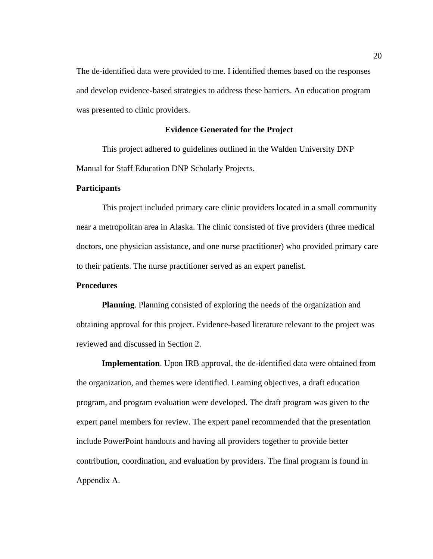The de-identified data were provided to me. I identified themes based on the responses and develop evidence-based strategies to address these barriers. An education program was presented to clinic providers.

## **Evidence Generated for the Project**

<span id="page-31-0"></span>This project adhered to guidelines outlined in the Walden University DNP Manual for Staff Education DNP Scholarly Projects.

## <span id="page-31-1"></span>**Participants**

This project included primary care clinic providers located in a small community near a metropolitan area in Alaska. The clinic consisted of five providers (three medical doctors, one physician assistance, and one nurse practitioner) who provided primary care to their patients. The nurse practitioner served as an expert panelist.

## <span id="page-31-2"></span>**Procedures**

**Planning**. Planning consisted of exploring the needs of the organization and obtaining approval for this project. Evidence-based literature relevant to the project was reviewed and discussed in Section 2.

**Implementation**. Upon IRB approval, the de-identified data were obtained from the organization, and themes were identified. Learning objectives, a draft education program, and program evaluation were developed. The draft program was given to the expert panel members for review. The expert panel recommended that the presentation include PowerPoint handouts and having all providers together to provide better contribution, coordination, and evaluation by providers. The final program is found in Appendix A.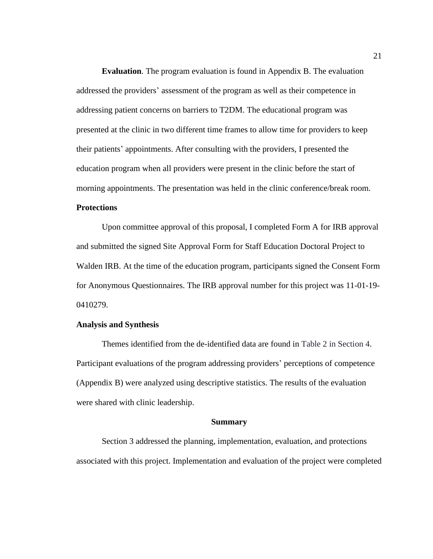**Evaluation**. The program evaluation is found in Appendix B. The evaluation addressed the providers' assessment of the program as well as their competence in addressing patient concerns on barriers to T2DM. The educational program was presented at the clinic in two different time frames to allow time for providers to keep their patients' appointments. After consulting with the providers, I presented the education program when all providers were present in the clinic before the start of morning appointments. The presentation was held in the clinic conference/break room.

## <span id="page-32-0"></span>**Protections**

Upon committee approval of this proposal, I completed Form A for IRB approval and submitted the signed Site Approval Form for Staff Education Doctoral Project to Walden IRB. At the time of the education program, participants signed the Consent Form for Anonymous Questionnaires. The IRB approval number for this project was 11-01-19- 0410279.

## <span id="page-32-1"></span>**Analysis and Synthesis**

Themes identified from the de-identified data are found in Table 2 in Section 4. Participant evaluations of the program addressing providers' perceptions of competence (Appendix B) were analyzed using descriptive statistics. The results of the evaluation were shared with clinic leadership.

#### **Summary**

<span id="page-32-2"></span>Section 3 addressed the planning, implementation, evaluation, and protections associated with this project. Implementation and evaluation of the project were completed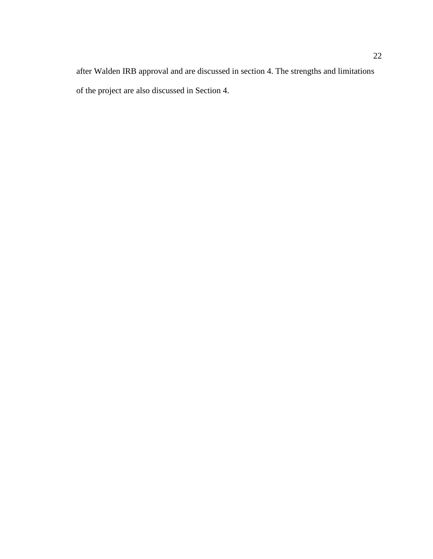after Walden IRB approval and are discussed in section 4. The strengths and limitations of the project are also discussed in Section 4.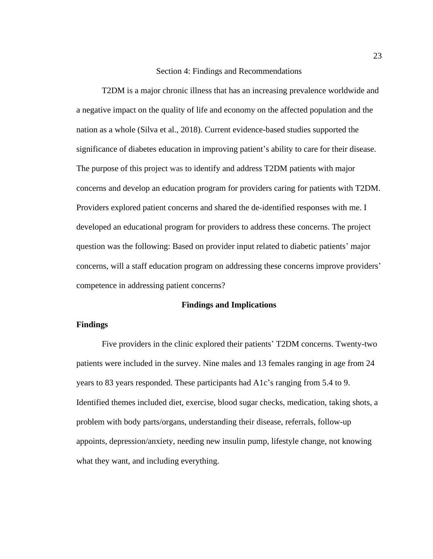## Section 4: Findings and Recommendations

<span id="page-34-0"></span>T2DM is a major chronic illness that has an increasing prevalence worldwide and a negative impact on the quality of life and economy on the affected population and the nation as a whole (Silva et al., 2018). Current evidence-based studies supported the significance of diabetes education in improving patient's ability to care for their disease. The purpose of this project was to identify and address T2DM patients with major concerns and develop an education program for providers caring for patients with T2DM. Providers explored patient concerns and shared the de-identified responses with me. I developed an educational program for providers to address these concerns. The project question was the following: Based on provider input related to diabetic patients' major concerns, will a staff education program on addressing these concerns improve providers' competence in addressing patient concerns?

## **Findings and Implications**

## <span id="page-34-2"></span><span id="page-34-1"></span>**Findings**

Five providers in the clinic explored their patients' T2DM concerns. Twenty-two patients were included in the survey. Nine males and 13 females ranging in age from 24 years to 83 years responded. These participants had A1c's ranging from 5.4 to 9. Identified themes included diet, exercise, blood sugar checks, medication, taking shots, a problem with body parts/organs, understanding their disease, referrals, follow-up appoints, depression/anxiety, needing new insulin pump, lifestyle change, not knowing what they want, and including everything.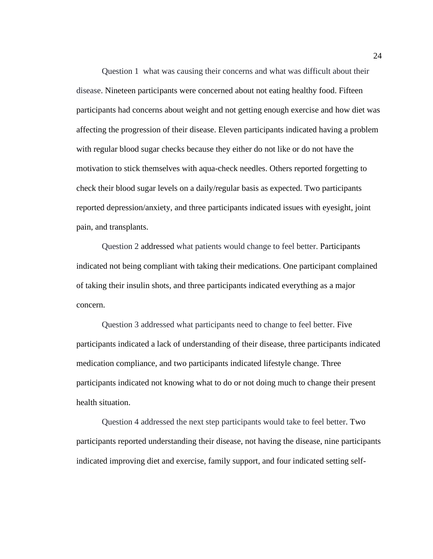Question 1 what was causing their concerns and what was difficult about their disease. Nineteen participants were concerned about not eating healthy food. Fifteen participants had concerns about weight and not getting enough exercise and how diet was affecting the progression of their disease. Eleven participants indicated having a problem with regular blood sugar checks because they either do not like or do not have the motivation to stick themselves with aqua-check needles. Others reported forgetting to check their blood sugar levels on a daily/regular basis as expected. Two participants reported depression/anxiety, and three participants indicated issues with eyesight, joint pain, and transplants.

Question 2 addressed what patients would change to feel better. Participants indicated not being compliant with taking their medications. One participant complained of taking their insulin shots, and three participants indicated everything as a major concern.

Question 3 addressed what participants need to change to feel better. Five participants indicated a lack of understanding of their disease, three participants indicated medication compliance, and two participants indicated lifestyle change. Three participants indicated not knowing what to do or not doing much to change their present health situation.

Question 4 addressed the next step participants would take to feel better. Two participants reported understanding their disease, not having the disease, nine participants indicated improving diet and exercise, family support, and four indicated setting self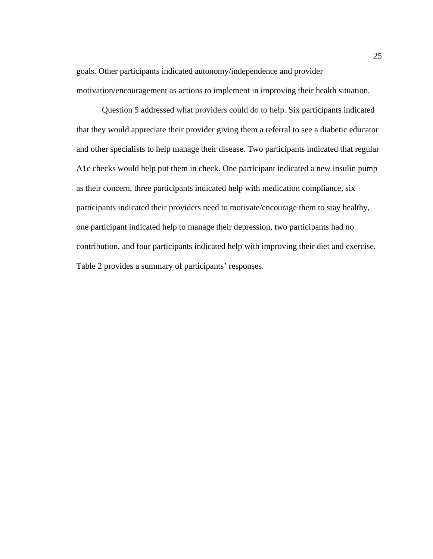goals. Other participants indicated autonomy/independence and provider motivation/encouragement as actions to implement in improving their health situation.

Question 5 addressed what providers could do to help. Six participants indicated that they would appreciate their provider giving them a referral to see a diabetic educator and other specialists to help manage their disease. Two participants indicated that regular A1c checks would help put them in check. One participant indicated a new insulin pump as their concern, three participants indicated help with medication compliance, six participants indicated their providers need to motivate/encourage them to stay healthy, one participant indicated help to manage their depression, two participants had no contribution, and four participants indicated help with improving their diet and exercise. Table 2 provides a summary of participants' responses.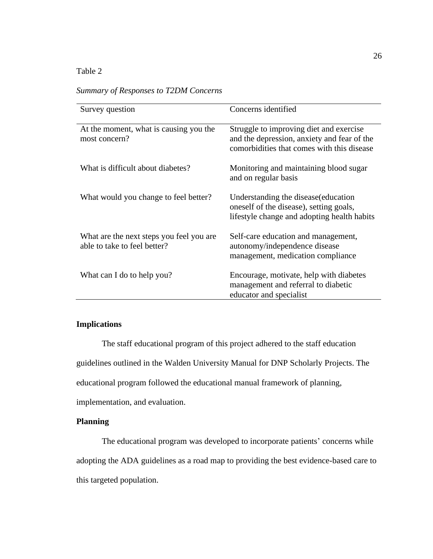# <span id="page-37-2"></span>Table 2

| Summary of Responses to T2DM Concerns |
|---------------------------------------|
|---------------------------------------|

| Survey question                                                          | Concerns identified                                                                                                                  |
|--------------------------------------------------------------------------|--------------------------------------------------------------------------------------------------------------------------------------|
| At the moment, what is causing you the<br>most concern?                  | Struggle to improving diet and exercise<br>and the depression, anxiety and fear of the<br>comorbidities that comes with this disease |
| What is difficult about diabetes?                                        | Monitoring and maintaining blood sugar<br>and on regular basis                                                                       |
| What would you change to feel better?                                    | Understanding the disease (education<br>oneself of the disease), setting goals,<br>lifestyle change and adopting health habits       |
| What are the next steps you feel you are<br>able to take to feel better? | Self-care education and management,<br>autonomy/independence disease<br>management, medication compliance                            |
| What can I do to help you?                                               | Encourage, motivate, help with diabetes<br>management and referral to diabetic<br>educator and specialist                            |

# <span id="page-37-0"></span>**Implications**

The staff educational program of this project adhered to the staff education guidelines outlined in the Walden University Manual for DNP Scholarly Projects. The educational program followed the educational manual framework of planning, implementation, and evaluation.

# <span id="page-37-1"></span>**Planning**

The educational program was developed to incorporate patients' concerns while adopting the ADA guidelines as a road map to providing the best evidence-based care to this targeted population.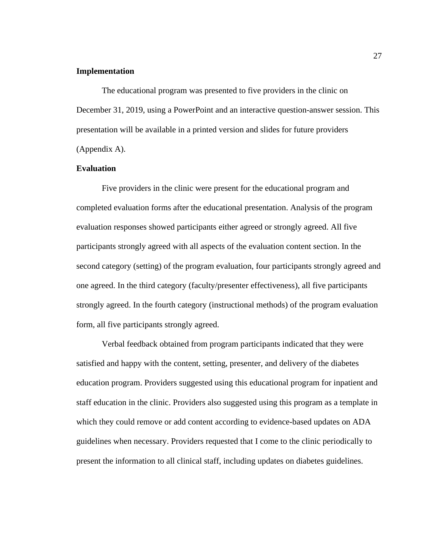## <span id="page-38-0"></span>**Implementation**

The educational program was presented to five providers in the clinic on December 31, 2019, using a PowerPoint and an interactive question-answer session. This presentation will be available in a printed version and slides for future providers (Appendix A).

## <span id="page-38-1"></span>**Evaluation**

Five providers in the clinic were present for the educational program and completed evaluation forms after the educational presentation. Analysis of the program evaluation responses showed participants either agreed or strongly agreed. All five participants strongly agreed with all aspects of the evaluation content section. In the second category (setting) of the program evaluation, four participants strongly agreed and one agreed. In the third category (faculty/presenter effectiveness), all five participants strongly agreed. In the fourth category (instructional methods) of the program evaluation form, all five participants strongly agreed.

Verbal feedback obtained from program participants indicated that they were satisfied and happy with the content, setting, presenter, and delivery of the diabetes education program. Providers suggested using this educational program for inpatient and staff education in the clinic. Providers also suggested using this program as a template in which they could remove or add content according to evidence-based updates on ADA guidelines when necessary. Providers requested that I come to the clinic periodically to present the information to all clinical staff, including updates on diabetes guidelines.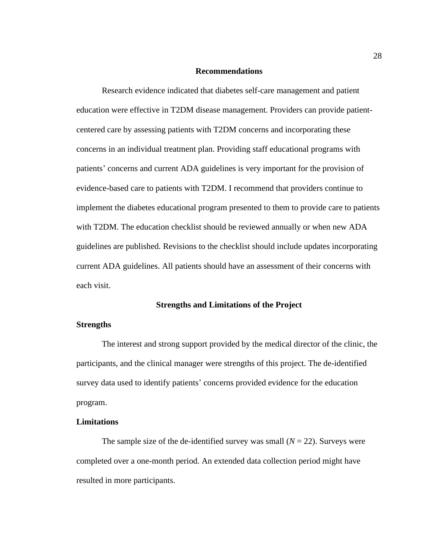#### **Recommendations**

<span id="page-39-0"></span>Research evidence indicated that diabetes self-care management and patient education were effective in T2DM disease management. Providers can provide patientcentered care by assessing patients with T2DM concerns and incorporating these concerns in an individual treatment plan. Providing staff educational programs with patients' concerns and current ADA guidelines is very important for the provision of evidence-based care to patients with T2DM. I recommend that providers continue to implement the diabetes educational program presented to them to provide care to patients with T2DM. The education checklist should be reviewed annually or when new ADA guidelines are published. Revisions to the checklist should include updates incorporating current ADA guidelines. All patients should have an assessment of their concerns with each visit.

## **Strengths and Limitations of the Project**

## <span id="page-39-2"></span><span id="page-39-1"></span>**Strengths**

The interest and strong support provided by the medical director of the clinic, the participants, and the clinical manager were strengths of this project. The de-identified survey data used to identify patients' concerns provided evidence for the education program.

#### <span id="page-39-3"></span>**Limitations**

The sample size of the de-identified survey was small  $(N = 22)$ . Surveys were completed over a one-month period. An extended data collection period might have resulted in more participants.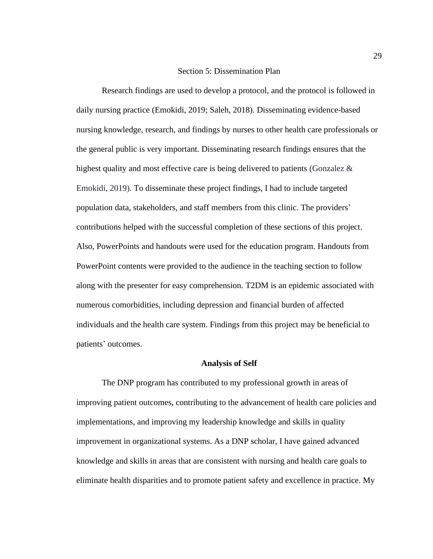### Section 5: Dissemination Plan

<span id="page-40-0"></span>Research findings are used to develop a protocol, and the protocol is followed in daily nursing practice (Emokidi, 2019; Saleh, 2018). Disseminating evidence-based nursing knowledge, research, and findings by nurses to other health care professionals or the general public is very important. Disseminating research findings ensures that the highest quality and most effective care is being delivered to patients (Gonzalez  $\&$ Emokidi, 2019)*.* To disseminate these project findings, I had to include targeted population data, stakeholders, and staff members from this clinic. The providers' contributions helped with the successful completion of these sections of this project. Also, PowerPoints and handouts were used for the education program. Handouts from PowerPoint contents were provided to the audience in the teaching section to follow along with the presenter for easy comprehension. T2DM is an epidemic associated with numerous comorbidities, including depression and financial burden of affected individuals and the health care system. Findings from this project may be beneficial to patients' outcomes.

#### **Analysis of Self**

<span id="page-40-1"></span>The DNP program has contributed to my professional growth in areas of improving patient outcomes, contributing to the advancement of health care policies and implementations, and improving my leadership knowledge and skills in quality improvement in organizational systems. As a DNP scholar, I have gained advanced knowledge and skills in areas that are consistent with nursing and health care goals to eliminate health disparities and to promote patient safety and excellence in practice. My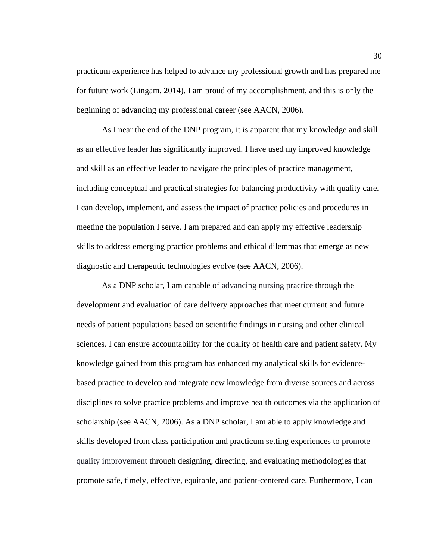practicum experience has helped to advance my professional growth and has prepared me for future work (Lingam, 2014). I am proud of my accomplishment, and this is only the beginning of advancing my professional career (see AACN, 2006).

As I near the end of the DNP program, it is apparent that my knowledge and skill as an effective leader has significantly improved. I have used my improved knowledge and skill as an effective leader to navigate the principles of practice management, including conceptual and practical strategies for balancing productivity with quality care. I can develop, implement, and assess the impact of practice policies and procedures in meeting the population I serve. I am prepared and can apply my effective leadership skills to address emerging practice problems and ethical dilemmas that emerge as new diagnostic and therapeutic technologies evolve (see AACN, 2006).

As a DNP scholar, I am capable of advancing nursing practice through the development and evaluation of care delivery approaches that meet current and future needs of patient populations based on scientific findings in nursing and other clinical sciences. I can ensure accountability for the quality of health care and patient safety. My knowledge gained from this program has enhanced my analytical skills for evidencebased practice to develop and integrate new knowledge from diverse sources and across disciplines to solve practice problems and improve health outcomes via the application of scholarship (see AACN, 2006). As a DNP scholar, I am able to apply knowledge and skills developed from class participation and practicum setting experiences to promote quality improvement through designing, directing, and evaluating methodologies that promote safe, timely, effective, equitable, and patient-centered care. Furthermore, I can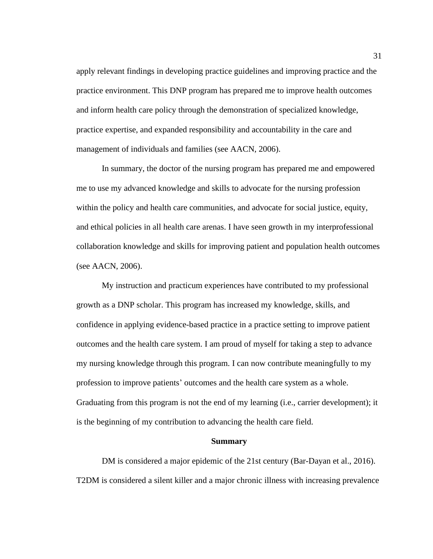apply relevant findings in developing practice guidelines and improving practice and the practice environment. This DNP program has prepared me to improve health outcomes and inform health care policy through the demonstration of specialized knowledge, practice expertise, and expanded responsibility and accountability in the care and management of individuals and families (see AACN, 2006).

In summary, the doctor of the nursing program has prepared me and empowered me to use my advanced knowledge and skills to advocate for the nursing profession within the policy and health care communities, and advocate for social justice, equity, and ethical policies in all health care arenas. I have seen growth in my interprofessional collaboration knowledge and skills for improving patient and population health outcomes (see AACN, 2006).

My instruction and practicum experiences have contributed to my professional growth as a DNP scholar. This program has increased my knowledge, skills, and confidence in applying evidence-based practice in a practice setting to improve patient outcomes and the health care system. I am proud of myself for taking a step to advance my nursing knowledge through this program. I can now contribute meaningfully to my profession to improve patients' outcomes and the health care system as a whole. Graduating from this program is not the end of my learning (i.e., carrier development); it is the beginning of my contribution to advancing the health care field.

#### **Summary**

<span id="page-42-0"></span>DM is considered a major epidemic of the 21st century (Bar-Dayan et al., 2016). T2DM is considered a silent killer and a major chronic illness with increasing prevalence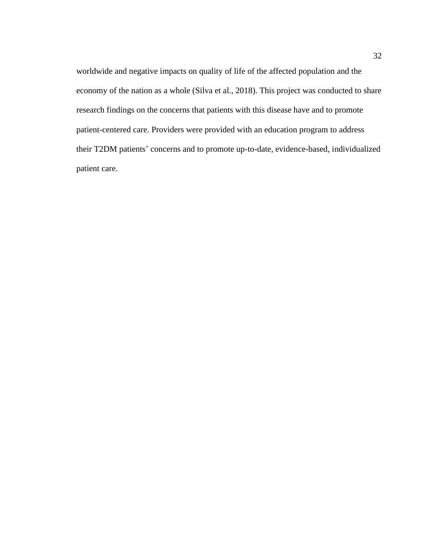worldwide and negative impacts on quality of life of the affected population and the economy of the nation as a whole (Silva et al., 2018). This project was conducted to share research findings on the concerns that patients with this disease have and to promote patient-centered care. Providers were provided with an education program to address their T2DM patients' concerns and to promote up-to-date, evidence-based, individualized patient care.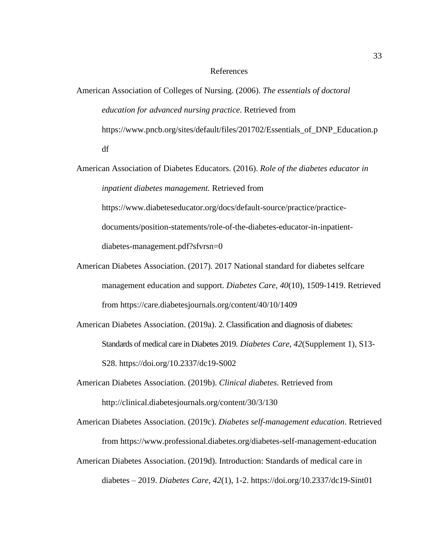## References

- <span id="page-44-0"></span>American Association of Colleges of Nursing. (2006). *The essentials of doctoral education for advanced nursing practice*. Retrieved from https://www.pncb.org/sites/default/files/201702/Essentials\_of\_DNP\_Education.p df
- American Association of Diabetes Educators. (2016). *Role of the diabetes educator in inpatient diabetes management.* Retrieved from https://www.diabeteseducator.org/docs/default-source/practice/practice-

documents/position-statements/role-of-the-diabetes-educator-in-inpatientdiabetes-management.pdf?sfvrsn=0

- American Diabetes Association. (2017). 2017 National standard for diabetes selfcare management education and support. *Diabetes Care, 40*(10), 1509-1419. Retrieved from https://care.diabetesjournals.org/content/40/10/1409
- American Diabetes Association. (2019a). 2. Classification and diagnosis of diabetes: Standards of medical care in Diabetes 2019. *Diabetes Care, 42*(Supplement 1), S13- S28. https://doi.org/10.2337/dc19-S002
- American Diabetes Association. (2019b). *Clinical diabetes*. Retrieved from http://clinical.diabetesjournals.org/content/30/3/130
- American Diabetes Association. (2019c). *Diabetes self-management education*. Retrieved from https://www.professional.diabetes.org/diabetes-self-management-education
- American Diabetes Association. (2019d). Introduction: Standards of medical care in diabetes – 2019. *Diabetes Care, 42*(1), 1-2. https://doi.org/10.2337/dc19-Sint01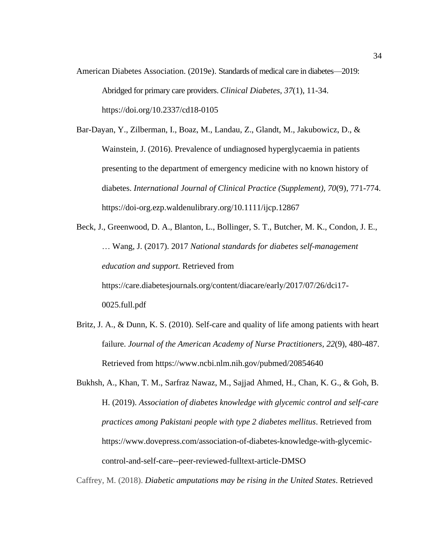American Diabetes Association. (2019e). Standards of medical care in diabetes—2019: Abridged for primary care providers. *Clinical Diabetes, 37*(1), 11-34. https://doi.org/10.2337/cd18-0105

Bar-Dayan, Y., Zilberman, I., Boaz, M., Landau, Z., Glandt, M., Jakubowicz, D., & Wainstein, J. (2016). Prevalence of undiagnosed hyperglycaemia in patients presenting to the department of emergency medicine with no known history of diabetes. *International Journal of Clinical Practice (Supplement), 70*(9), 771-774. https://doi-org.ezp.waldenulibrary.org/10.1111/ijcp.12867

Beck, J., Greenwood, D. A., Blanton, L., Bollinger, S. T., Butcher, M. K., Condon, J. E., … Wang, J. (2017). 2017 *National standards for diabetes self-management education and support.* Retrieved from https://care.diabetesjournals.org/content/diacare/early/2017/07/26/dci17- 0025.full.pdf

- Britz, J. A., & Dunn, K. S. (2010). Self-care and quality of life among patients with heart failure. *Journal of the American Academy of Nurse Practitioners, 22*(9), 480-487. Retrieved from https://www.ncbi.nlm.nih.gov/pubmed/20854640
- Bukhsh, A., Khan, T. M., Sarfraz Nawaz, M., Sajjad Ahmed, H., Chan, K. G., & Goh, B. H. (2019). *Association of diabetes knowledge with glycemic control and self-care practices among Pakistani people with type 2 diabetes mellitus*. Retrieved from https://www.dovepress.com/association-of-diabetes-knowledge-with-glycemiccontrol-and-self-care--peer-reviewed-fulltext-article-DMSO

Caffrey, M. (2018). *Diabetic amputations may be rising in the United States*. Retrieved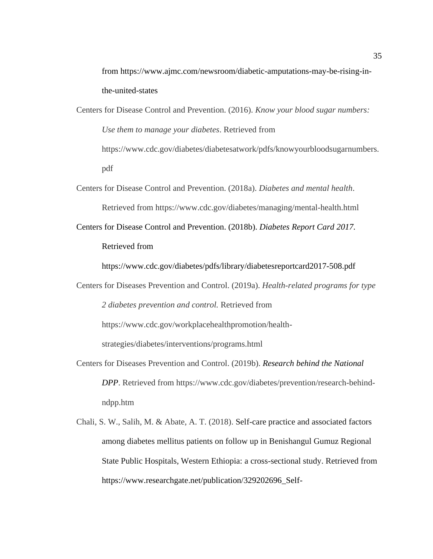from https://www.ajmc.com/newsroom/diabetic-amputations-may-be-rising-inthe-united-states

- Centers for Disease Control and Prevention. (2016). *Know your blood sugar numbers: Use them to manage your diabetes*. Retrieved from https://www.cdc.gov/diabetes/diabetesatwork/pdfs/knowyourbloodsugarnumbers. pdf
- Centers for Disease Control and Prevention. (2018a). *Diabetes and mental health*. Retrieved from https://www.cdc.gov/diabetes/managing/mental-health.html
- Centers for Disease Control and Prevention. (2018b). *Diabetes Report Card 2017.* Retrieved from

https://www.cdc.gov/diabetes/pdfs/library/diabetesreportcard2017-508.pdf

Centers for Diseases Prevention and Control. (2019a). *Health-related programs for type 2 diabetes prevention and control.* Retrieved from https://www.cdc.gov/workplacehealthpromotion/health-

strategies/diabetes/interventions/programs.html

- Centers for Diseases Prevention and Control. (2019b). *Research behind the National DPP*. Retrieved from https://www.cdc.gov/diabetes/prevention/research-behindndpp.htm
- Chali, S. W., Salih, M. & Abate, A. T. (2018). Self-care practice and associated factors among diabetes mellitus patients on follow up in Benishangul Gumuz Regional State Public Hospitals, Western Ethiopia: a cross-sectional study. Retrieved from https://www.researchgate.net/publication/329202696\_Self-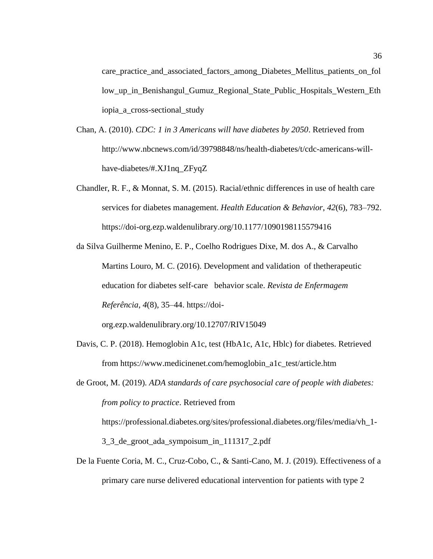care\_practice\_and\_associated\_factors\_among\_Diabetes\_Mellitus\_patients\_on\_fol low\_up\_in\_Benishangul\_Gumuz\_Regional\_State\_Public\_Hospitals\_Western\_Eth iopia\_a\_cross-sectional\_study

- Chan, A. (2010). *CDC: 1 in 3 Americans will have diabetes by 2050*. Retrieved from http://www.nbcnews.com/id/39798848/ns/health-diabetes/t/cdc-americans-willhave-diabetes/#.XJ1nq\_ZFyqZ
- Chandler, R. F., & Monnat, S. M. (2015). Racial/ethnic differences in use of health care services for diabetes management. *Health Education & Behavior*, *42*(6), 783–792. https://doi-org.ezp.waldenulibrary.org/10.1177/1090198115579416
- da Silva Guilherme Menino, E. P., Coelho Rodrigues Dixe, M. dos A., & Carvalho Martins Louro, M. C. (2016). Development and validation of thetherapeutic education for diabetes self-care behavior scale. *Revista de Enfermagem Referência*, *4*(8), 35–44. https://doi-

org.ezp.waldenulibrary.org/10.12707/RIV15049

Davis, C. P. (2018). Hemoglobin A1c, test (HbA1c, A1c, Hblc) for diabetes. Retrieved from https://www.medicinenet.com/hemoglobin\_a1c\_test/article.htm

de Groot, M. (2019). *ADA standards of care psychosocial care of people with diabetes: from policy to practice*. Retrieved from https://professional.diabetes.org/sites/professional.diabetes.org/files/media/vh\_1-

3\_3\_de\_groot\_ada\_sympoisum\_in\_111317\_2.pdf

De la Fuente Coria, M. C., Cruz-Cobo, C., & Santi-Cano, M. J. (2019). Effectiveness of a primary care nurse delivered educational intervention for patients with type 2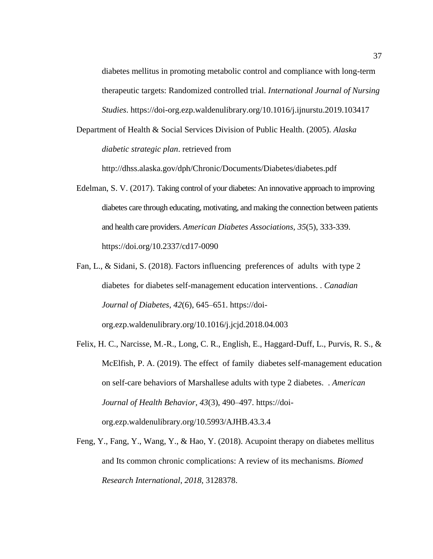diabetes mellitus in promoting metabolic control and compliance with long-term therapeutic targets: Randomized controlled trial. *International Journal of Nursing Studies*. https://doi-org.ezp.waldenulibrary.org/10.1016/j.ijnurstu.2019.103417

Department of Health & Social Services Division of Public Health. (2005). *Alaska diabetic strategic plan*. retrieved from

http://dhss.alaska.gov/dph/Chronic/Documents/Diabetes/diabetes.pdf

- Edelman, S. V. (2017). Taking control of your diabetes: An innovative approach to improving diabetes care through educating, motivating, and making the connection between patients and health care providers. *American Diabetes Associations, 35*(5), 333-339. https://doi.org/10.2337/cd17-0090
- Fan, L., & Sidani, S. (2018). Factors influencing preferences of adults with type 2 diabetes for diabetes self-management education interventions. . *Canadian Journal of Diabetes*, *42*(6), 645–651. https://doi-

org.ezp.waldenulibrary.org/10.1016/j.jcjd.2018.04.003

- Felix, H. C., Narcisse, M.-R., Long, C. R., English, E., Haggard-Duff, L., Purvis, R. S., & McElfish, P. A. (2019). The effect of family diabetes self-management education on self-care behaviors of Marshallese adults with type 2 diabetes. . *American Journal of Health Behavior*, *43*(3), 490–497. https://doiorg.ezp.waldenulibrary.org/10.5993/AJHB.43.3.4
- Feng, Y., Fang, Y., Wang, Y., & Hao, Y. (2018). Acupoint therapy on diabetes mellitus and Its common chronic complications: A review of its mechanisms. *Biomed Research International*, *2018*, 3128378.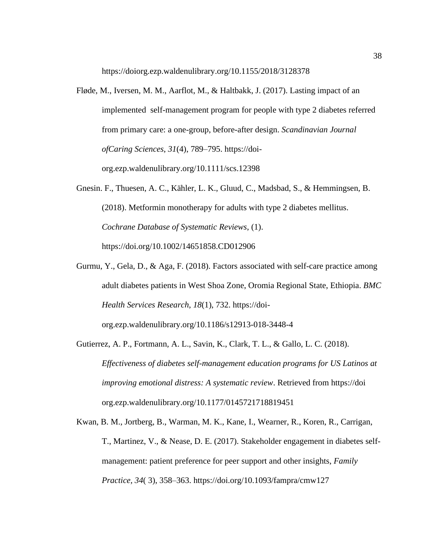https://doiorg.ezp.waldenulibrary.org/10.1155/2018/3128378

- Fløde, M., Iversen, M. M., Aarflot, M., & Haltbakk, J. (2017). Lasting impact of an implemented self-management program for people with type 2 diabetes referred from primary care: a one-group, before-after design. *Scandinavian Journal ofCaring Sciences*, *31*(4), 789–795. https://doiorg.ezp.waldenulibrary.org/10.1111/scs.12398
- Gnesin. F., Thuesen, A. C., Kähler, L. K., Gluud, C., Madsbad, S., & Hemmingsen, B. (2018). Metformin monotherapy for adults with type 2 diabetes mellitus. *Cochrane Database of Systematic Reviews*, (1). https://doi.org/10.1002/14651858.CD012906
- Gurmu, Y., Gela, D., & Aga, F. (2018). Factors associated with self-care practice among adult diabetes patients in West Shoa Zone, Oromia Regional State, Ethiopia. *BMC Health Services Research*, *18*(1), 732. https://doi-

org.ezp.waldenulibrary.org/10.1186/s12913-018-3448-4

- Gutierrez, A. P., Fortmann, A. L., Savin, K., Clark, T. L., & Gallo, L. C. (2018). *Effectiveness of diabetes self-management education programs for US Latinos at improving emotional distress: A systematic review*. Retrieved from https://doi org.ezp.waldenulibrary.org/10.1177/0145721718819451
- Kwan, B. M., Jortberg, B., Warman, M. K., Kane, I., Wearner, R., Koren, R., Carrigan, T., Martinez, V., & Nease, D. E. (2017). Stakeholder engagement in diabetes selfmanagement: patient preference for peer support and other insights, *Family Practice, 34*( 3), 358–363. https://doi.org/10.1093/fampra/cmw127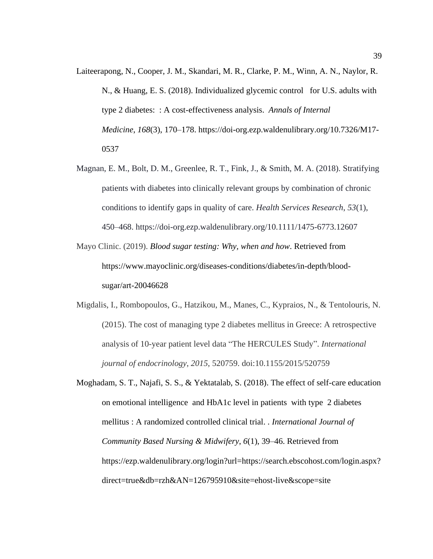- Laiteerapong, N., Cooper, J. M., Skandari, M. R., Clarke, P. M., Winn, A. N., Naylor, R. N., & Huang, E. S. (2018). Individualized glycemic control for U.S. adults with type 2 diabetes: : A cost-effectiveness analysis. *Annals of Internal Medicine*, *168*(3), 170–178. https://doi-org.ezp.waldenulibrary.org/10.7326/M17- 0537
- Magnan, E. M., Bolt, D. M., Greenlee, R. T., Fink, J., & Smith, M. A. (2018). Stratifying patients with diabetes into clinically relevant groups by combination of chronic conditions to identify gaps in quality of care. *Health Services Research*, *53*(1), 450–468. https://doi-org.ezp.waldenulibrary.org/10.1111/1475-6773.12607
- Mayo Clinic. (2019). *Blood sugar testing: Why, when and how*. Retrieved from https://www.mayoclinic.org/diseases-conditions/diabetes/in-depth/bloodsugar/art-20046628
- Migdalis, I., Rombopoulos, G., Hatzikou, M., Manes, C., Kypraios, N., & Tentolouris, N. (2015). The cost of managing type 2 diabetes mellitus in Greece: A retrospective analysis of 10-year patient level data "The HERCULES Study". *International journal of endocrinology*, *2015*, 520759. doi:10.1155/2015/520759
- Moghadam, S. T., Najafi, S. S., & Yektatalab, S. (2018). The effect of self-care education on emotional intelligence and HbA1c level in patients with type 2 diabetes mellitus : A randomized controlled clinical trial. . *International Journal of Community Based Nursing & Midwifery*, *6*(1), 39–46. Retrieved from https://ezp.waldenulibrary.org/login?url=https://search.ebscohost.com/login.aspx? direct=true&db=rzh&AN=126795910&site=ehost-live&scope=site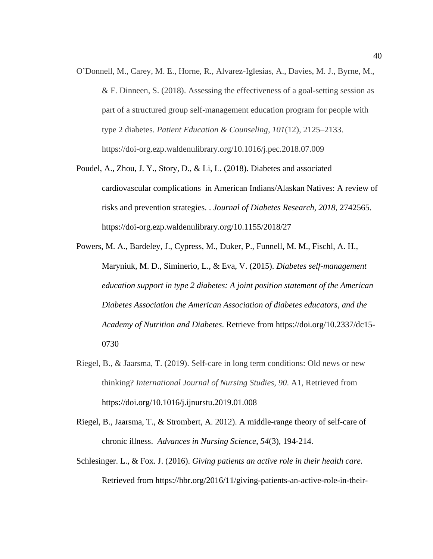- O'Donnell, M., Carey, M. E., Horne, R., Alvarez-Iglesias, A., Davies, M. J., Byrne, M., & F. Dinneen, S. (2018). Assessing the effectiveness of a goal-setting session as part of a structured group self-management education program for people with type 2 diabetes. *Patient Education & Counseling*, *101*(12), 2125–2133. https://doi-org.ezp.waldenulibrary.org/10.1016/j.pec.2018.07.009
- Poudel, A., Zhou, J. Y., Story, D., & Li, L. (2018). Diabetes and associated cardiovascular complications in American Indians/Alaskan Natives: A review of risks and prevention strategies. . *Journal of Diabetes Research*, *2018*, 2742565. https://doi-org.ezp.waldenulibrary.org/10.1155/2018/27
- Powers, M. A., Bardeley, J., Cypress, M., Duker, P., Funnell, M. M., Fischl, A. H., Maryniuk, M. D., Siminerio, L., & Eva, V. (2015). *Diabetes self-management education support in type 2 diabetes: A joint position statement of the American Diabetes Association the American Association of diabetes educators, and the Academy of Nutrition and Diabetes*. Retrieve from https://doi.org/10.2337/dc15- 0730
- Riegel, B., & Jaarsma, T. (2019). Self-care in long term conditions: Old news or new thinking? *International Journal of Nursing Studies, 90*. A1, Retrieved from https://doi.org/10.1016/j.ijnurstu.2019.01.008
- Riegel, B., Jaarsma, T., & Strombert, A. 2012). A middle-range theory of self-care of chronic illness. *Advances in Nursing Science*, *54*(3), 194-214.
- Schlesinger. L., & Fox. J. (2016). *Giving patients an active role in their health care*. Retrieved from https://hbr.org/2016/11/giving-patients-an-active-role-in-their-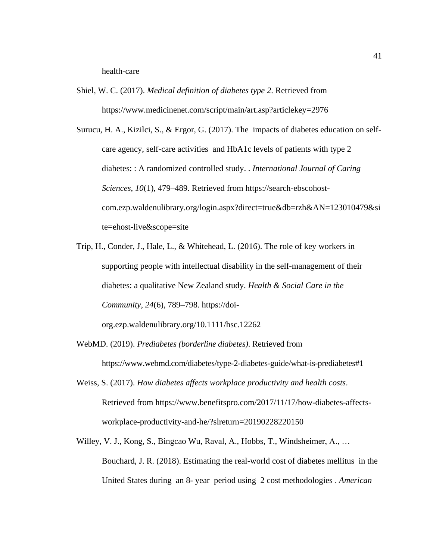health-care

- Shiel, W. C. (2017). *Medical definition of diabetes type 2*. Retrieved from https://www.medicinenet.com/script/main/art.asp?articlekey=2976
- Surucu, H. A., Kizilci, S., & Ergor, G. (2017). The impacts of diabetes education on selfcare agency, self-care activities and HbA1c levels of patients with type 2 diabetes: : A randomized controlled study. . *International Journal of Caring Sciences*, *10*(1), 479–489. Retrieved from https://search-ebscohostcom.ezp.waldenulibrary.org/login.aspx?direct=true&db=rzh&AN=123010479&si te=ehost-live&scope=site
- Trip, H., Conder, J., Hale, L., & Whitehead, L. (2016). The role of key workers in supporting people with intellectual disability in the self-management of their diabetes: a qualitative New Zealand study. *Health & Social Care in the Community*, *24*(6), 789–798. https://doi-

org.ezp.waldenulibrary.org/10.1111/hsc.12262

- WebMD. (2019). *Prediabetes (borderline diabetes)*. Retrieved from https://www.webmd.com/diabetes/type-2-diabetes-guide/what-is-prediabetes#1
- Weiss, S. (2017). *How diabetes affects workplace productivity and health costs*. Retrieved from https://www.benefitspro.com/2017/11/17/how-diabetes-affectsworkplace-productivity-and-he/?slreturn=20190228220150
- Willey, V. J., Kong, S., Bingcao Wu, Raval, A., Hobbs, T., Windsheimer, A., … Bouchard, J. R. (2018). Estimating the real-world cost of diabetes mellitus in the United States during an 8- year period using 2 cost methodologies . *American*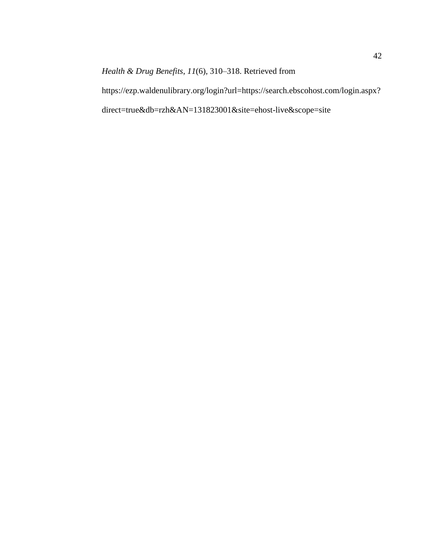*Health & Drug Benefits*, *11*(6), 310–318. Retrieved from

https://ezp.waldenulibrary.org/login?url=https://search.ebscohost.com/login.aspx? direct=true&db=rzh&AN=131823001&site=ehost-live&scope=site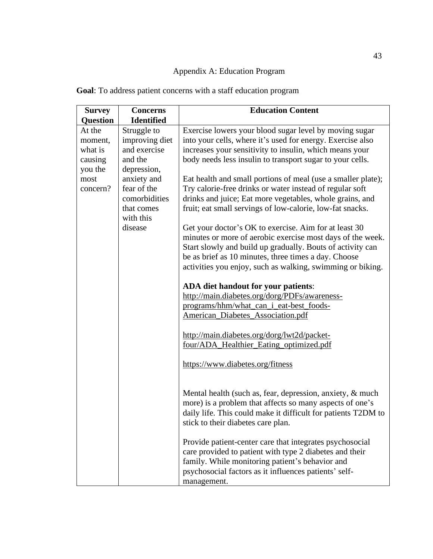# Appendix A: Education Program

| <b>Survey</b>   | <b>Concerns</b>   | <b>Education Content</b>                                      |
|-----------------|-------------------|---------------------------------------------------------------|
| <b>Question</b> | <b>Identified</b> |                                                               |
| At the          | Struggle to       | Exercise lowers your blood sugar level by moving sugar        |
| moment,         | improving diet    | into your cells, where it's used for energy. Exercise also    |
| what is         | and exercise      | increases your sensitivity to insulin, which means your       |
| causing         | and the           | body needs less insulin to transport sugar to your cells.     |
| you the         | depression,       |                                                               |
| most            | anxiety and       | Eat health and small portions of meal (use a smaller plate);  |
| concern?        | fear of the       | Try calorie-free drinks or water instead of regular soft      |
|                 | comorbidities     | drinks and juice; Eat more vegetables, whole grains, and      |
|                 | that comes        | fruit; eat small servings of low-calorie, low-fat snacks.     |
|                 | with this         |                                                               |
|                 | disease           | Get your doctor's OK to exercise. Aim for at least 30         |
|                 |                   | minutes or more of aerobic exercise most days of the week.    |
|                 |                   | Start slowly and build up gradually. Bouts of activity can    |
|                 |                   | be as brief as 10 minutes, three times a day. Choose          |
|                 |                   | activities you enjoy, such as walking, swimming or biking.    |
|                 |                   |                                                               |
|                 |                   | ADA diet handout for your patients:                           |
|                 |                   | http://main.diabetes.org/dorg/PDFs/awareness-                 |
|                 |                   | programs/hhm/what_can_i_eat-best_foods-                       |
|                 |                   | <b>American_Diabetes_Association.pdf</b>                      |
|                 |                   | http://main.diabetes.org/dorg/lwt2d/packet-                   |
|                 |                   | four/ADA_Healthier_Eating_optimized.pdf                       |
|                 |                   |                                                               |
|                 |                   | https://www.diabetes.org/fitness                              |
|                 |                   |                                                               |
|                 |                   | Mental health (such as, fear, depression, anxiety, & much     |
|                 |                   | more) is a problem that affects so many aspects of one's      |
|                 |                   | daily life. This could make it difficult for patients T2DM to |
|                 |                   | stick to their diabetes care plan.                            |
|                 |                   |                                                               |
|                 |                   | Provide patient-center care that integrates psychosocial      |
|                 |                   | care provided to patient with type 2 diabetes and their       |
|                 |                   | family. While monitoring patient's behavior and               |
|                 |                   | psychosocial factors as it influences patients' self-         |
|                 |                   | management.                                                   |

<span id="page-54-0"></span>**Goal**: To address patient concerns with a staff education program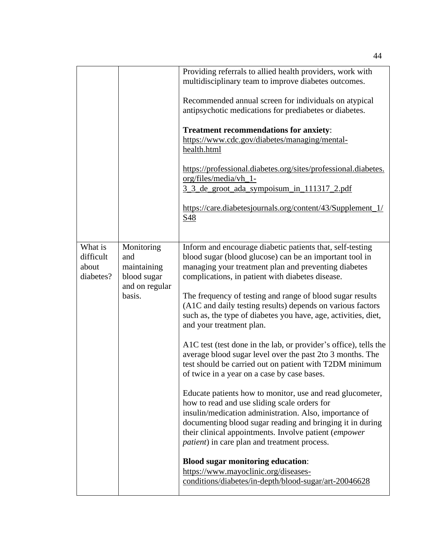|                                            |                                                                             | Providing referrals to allied health providers, work with<br>multidisciplinary team to improve diabetes outcomes.<br>Recommended annual screen for individuals on atypical<br>antipsychotic medications for prediabetes or diabetes.<br><b>Treatment recommendations for anxiety:</b><br>https://www.cdc.gov/diabetes/managing/mental-<br>health.html<br>https://professional.diabetes.org/sites/professional.diabetes.<br>org/files/media/vh_1-<br><u>3 3 de groot ada sympoisum in 111317 2.pdf</u><br>https://care.diabetesjournals.org/content/43/Supplement_1/<br>S48                                                                                                                                                                                                                                                                                                                                                                                                                                                                                                                                                                                                                             |
|--------------------------------------------|-----------------------------------------------------------------------------|--------------------------------------------------------------------------------------------------------------------------------------------------------------------------------------------------------------------------------------------------------------------------------------------------------------------------------------------------------------------------------------------------------------------------------------------------------------------------------------------------------------------------------------------------------------------------------------------------------------------------------------------------------------------------------------------------------------------------------------------------------------------------------------------------------------------------------------------------------------------------------------------------------------------------------------------------------------------------------------------------------------------------------------------------------------------------------------------------------------------------------------------------------------------------------------------------------|
| What is<br>difficult<br>about<br>diabetes? | Monitoring<br>and<br>maintaining<br>blood sugar<br>and on regular<br>basis. | Inform and encourage diabetic patients that, self-testing<br>blood sugar (blood glucose) can be an important tool in<br>managing your treatment plan and preventing diabetes<br>complications, in patient with diabetes disease.<br>The frequency of testing and range of blood sugar results<br>(A1C and daily testing results) depends on various factors<br>such as, the type of diabetes you have, age, activities, diet,<br>and your treatment plan.<br>A1C test (test done in the lab, or provider's office), tells the<br>average blood sugar level over the past 2to 3 months. The<br>test should be carried out on patient with T2DM minimum<br>of twice in a year on a case by case bases.<br>Educate patients how to monitor, use and read glucometer,<br>how to read and use sliding scale orders for<br>insulin/medication administration. Also, importance of<br>documenting blood sugar reading and bringing it in during<br>their clinical appointments. Involve patient (empower<br><i>patient</i> ) in care plan and treatment process.<br><b>Blood sugar monitoring education:</b><br>https://www.mayoclinic.org/diseases-<br>conditions/diabetes/in-depth/blood-sugar/art-20046628 |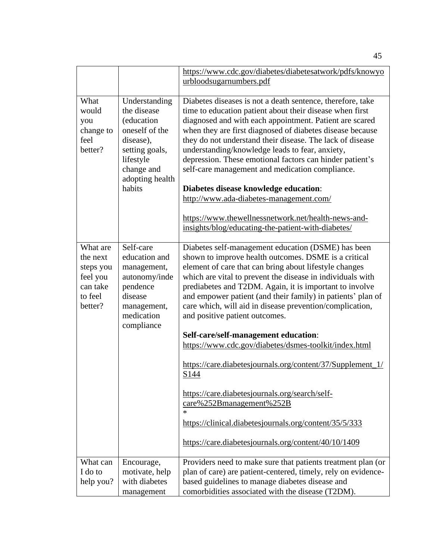|                                                                                 |                                                                                                                                                     | https://www.cdc.gov/diabetes/diabetesatwork/pdfs/knowyo                                                                                                                                                                                                                                                                                                                                                                                                                                                                                                           |
|---------------------------------------------------------------------------------|-----------------------------------------------------------------------------------------------------------------------------------------------------|-------------------------------------------------------------------------------------------------------------------------------------------------------------------------------------------------------------------------------------------------------------------------------------------------------------------------------------------------------------------------------------------------------------------------------------------------------------------------------------------------------------------------------------------------------------------|
|                                                                                 |                                                                                                                                                     | urbloodsugarnumbers.pdf                                                                                                                                                                                                                                                                                                                                                                                                                                                                                                                                           |
| What<br>would<br>you<br>change to<br>feel<br>better?                            | Understanding<br>the disease<br>(education<br>oneself of the<br>disease),<br>setting goals,<br>lifestyle<br>change and<br>adopting health<br>habits | Diabetes diseases is not a death sentence, therefore, take<br>time to education patient about their disease when first<br>diagnosed and with each appointment. Patient are scared<br>when they are first diagnosed of diabetes disease because<br>they do not understand their disease. The lack of disease<br>understanding/knowledge leads to fear, anxiety,<br>depression. These emotional factors can hinder patient's<br>self-care management and medication compliance.<br>Diabetes disease knowledge education:<br>http://www.ada-diabetes-management.com/ |
|                                                                                 |                                                                                                                                                     | https://www.thewellnessnetwork.net/health-news-and-<br>insights/blog/educating-the-patient-with-diabetes/                                                                                                                                                                                                                                                                                                                                                                                                                                                         |
| What are<br>the next<br>steps you<br>feel you<br>can take<br>to feel<br>better? | Self-care<br>education and<br>management,<br>autonomy/inde<br>pendence<br>disease<br>management,<br>medication                                      | Diabetes self-management education (DSME) has been<br>shown to improve health outcomes. DSME is a critical<br>element of care that can bring about lifestyle changes<br>which are vital to prevent the disease in individuals with<br>prediabetes and T2DM. Again, it is important to involve<br>and empower patient (and their family) in patients' plan of<br>care which, will aid in disease prevention/complication,<br>and positive patient outcomes.                                                                                                        |
|                                                                                 | compliance                                                                                                                                          | Self-care/self-management education:<br>https://www.cdc.gov/diabetes/dsmes-toolkit/index.html                                                                                                                                                                                                                                                                                                                                                                                                                                                                     |
|                                                                                 |                                                                                                                                                     | https://care.diabetesjournals.org/content/37/Supplement_1/<br>S144                                                                                                                                                                                                                                                                                                                                                                                                                                                                                                |
|                                                                                 |                                                                                                                                                     | https://care.diabetesjournals.org/search/self-<br>care%252Bmanagement%252B<br>$\ast$                                                                                                                                                                                                                                                                                                                                                                                                                                                                              |
|                                                                                 |                                                                                                                                                     | https://clinical.diabetesjournals.org/content/35/5/333                                                                                                                                                                                                                                                                                                                                                                                                                                                                                                            |
|                                                                                 |                                                                                                                                                     | https://care.diabetesjournals.org/content/40/10/1409                                                                                                                                                                                                                                                                                                                                                                                                                                                                                                              |
| What can<br>I do to                                                             | Encourage,<br>motivate, help                                                                                                                        | Providers need to make sure that patients treatment plan (or<br>plan of care) are patient-centered, timely, rely on evidence-                                                                                                                                                                                                                                                                                                                                                                                                                                     |
| help you?                                                                       | with diabetes<br>management                                                                                                                         | based guidelines to manage diabetes disease and<br>comorbidities associated with the disease (T2DM).                                                                                                                                                                                                                                                                                                                                                                                                                                                              |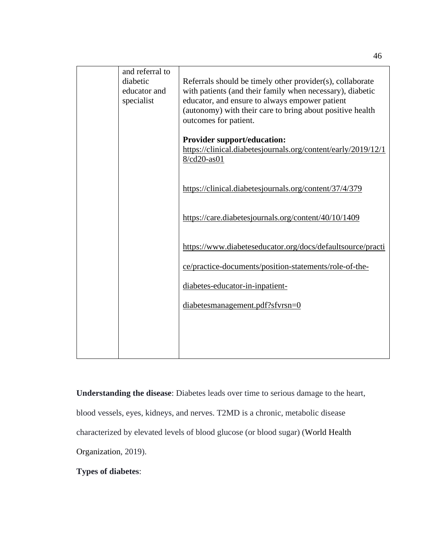| and referral to<br>diabetic<br>educator and<br>specialist | Referrals should be timely other provider(s), collaborate<br>with patients (and their family when necessary), diabetic<br>educator, and ensure to always empower patient<br>(autonomy) with their care to bring about positive health<br>outcomes for patient. |
|-----------------------------------------------------------|----------------------------------------------------------------------------------------------------------------------------------------------------------------------------------------------------------------------------------------------------------------|
|                                                           | <b>Provider support/education:</b><br>https://clinical.diabetesjournals.org/content/early/2019/12/1<br>8/cd20-as01                                                                                                                                             |
|                                                           | https://clinical.diabetesjournals.org/content/37/4/379                                                                                                                                                                                                         |
|                                                           | https://care.diabetesjournals.org/content/40/10/1409                                                                                                                                                                                                           |
|                                                           | https://www.diabeteseducator.org/docs/defaultsource/practi                                                                                                                                                                                                     |
|                                                           | ce/practice-documents/position-statements/role-of-the-                                                                                                                                                                                                         |
|                                                           | diabetes-educator-in-inpatient-                                                                                                                                                                                                                                |
|                                                           | diabetesmanagement.pdf?sfvrsn=0                                                                                                                                                                                                                                |
|                                                           |                                                                                                                                                                                                                                                                |
|                                                           |                                                                                                                                                                                                                                                                |

**Understanding the disease**: Diabetes leads over time to serious damage to the heart,

blood vessels, eyes, kidneys, and nerves. T2MD is a chronic, metabolic disease

characterized by elevated levels of blood glucose (or blood sugar) (World Health

Organization, 2019).

**Types of diabetes**: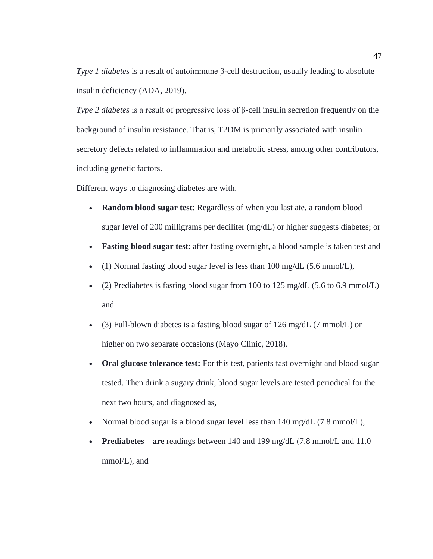*Type 1 diabetes* is a result of autoimmune β-cell destruction, usually leading to absolute insulin deficiency (ADA, 2019).

*Type 2 diabetes* is a result of progressive loss of β-cell insulin secretion frequently on the background of insulin resistance. That is, T2DM is primarily associated with insulin secretory defects related to inflammation and metabolic stress, among other contributors, including genetic factors.

Different ways to diagnosing diabetes are with.

- **Random blood sugar test**: Regardless of when you last ate, a random blood sugar level of 200 milligrams per deciliter (mg/dL) or higher suggests diabetes; or
- **Fasting blood sugar test**: after fasting overnight, a blood sample is taken test and
- (1) Normal fasting blood sugar level is less than 100 mg/dL (5.6 mmol/L),
- (2) Prediabetes is fasting blood sugar from 100 to 125 mg/dL  $(5.6 \text{ to } 6.9 \text{ mmol/L})$ and
- (3) Full-blown diabetes is a fasting blood sugar of 126 mg/dL (7 mmol/L) or higher on two separate occasions (Mayo Clinic, 2018).
- **Oral glucose tolerance test:** For this test, patients fast overnight and blood sugar tested. Then drink a sugary drink, blood sugar levels are tested periodical for the next two hours, and diagnosed as**,**
- Normal blood sugar is a blood sugar level less than 140 mg/dL (7.8 mmol/L),
- **Prediabetes are** readings between 140 and 199 mg/dL (7.8 mmol/L and 11.0) mmol/L), and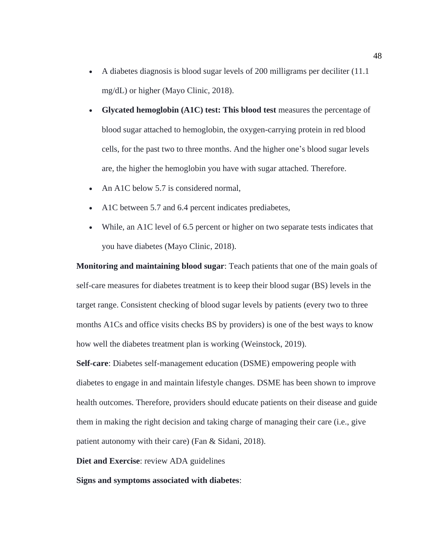- A diabetes diagnosis is blood sugar levels of 200 milligrams per deciliter (11.1 mg/dL) or higher (Mayo Clinic, 2018).
- **Glycated hemoglobin (A1C) test: This blood test** measures the percentage of blood sugar attached to hemoglobin, the oxygen-carrying protein in red blood cells, for the past two to three months. And the higher one's blood sugar levels are, the higher the hemoglobin you have with sugar attached. Therefore.
- An A1C below 5.7 is considered normal,
- A1C between 5.7 and 6.4 percent indicates prediabetes,
- While, an A1C level of 6.5 percent or higher on two separate tests indicates that you have diabetes (Mayo Clinic, 2018).

**Monitoring and maintaining blood sugar**: Teach patients that one of the main goals of self-care measures for diabetes treatment is to keep their blood sugar (BS) levels in the target range. Consistent checking of blood sugar levels by patients (every two to three months A1Cs and office visits checks BS by providers) is one of the best ways to know how well the diabetes treatment plan is working (Weinstock, 2019).

**Self-care**: Diabetes self-management education (DSME) empowering people with diabetes to engage in and maintain lifestyle changes. DSME has been shown to improve health outcomes. Therefore, providers should educate patients on their disease and guide them in making the right decision and taking charge of managing their care (i.e., give patient autonomy with their care) (Fan & Sidani, 2018).

**Diet and Exercise**: review ADA guidelines

**Signs and symptoms associated with diabetes**: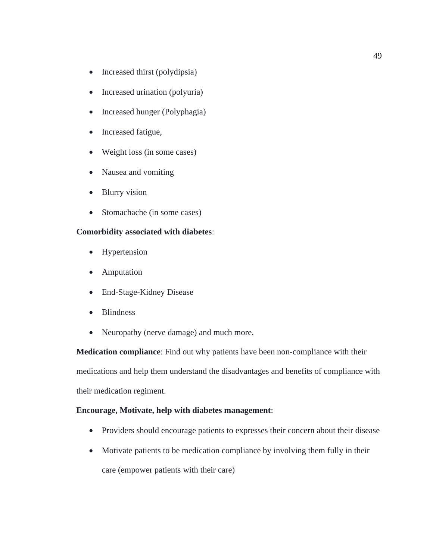- Increased thirst (polydipsia)
- Increased urination (polyuria)
- Increased hunger (Polyphagia)
- Increased fatigue,
- Weight loss (in some cases)
- Nausea and vomiting
- Blurry vision
- Stomachache (in some cases)

## **Comorbidity associated with diabetes**:

- Hypertension
- Amputation
- End-Stage-Kidney Disease
- Blindness
- Neuropathy (nerve damage) and much more.

**Medication compliance**: Find out why patients have been non-compliance with their medications and help them understand the disadvantages and benefits of compliance with their medication regiment.

## **Encourage, Motivate, help with diabetes management**:

- Providers should encourage patients to expresses their concern about their disease
- Motivate patients to be medication compliance by involving them fully in their care (empower patients with their care)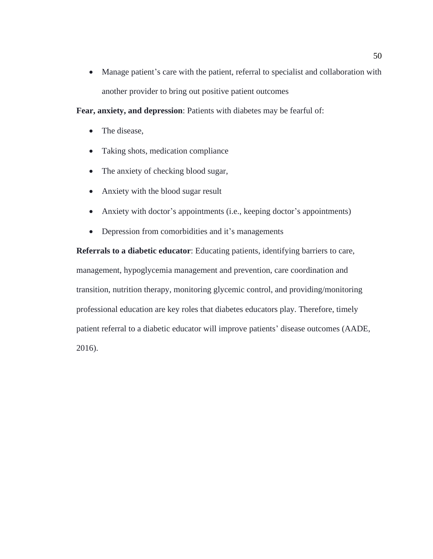• Manage patient's care with the patient, referral to specialist and collaboration with another provider to bring out positive patient outcomes

**Fear, anxiety, and depression**: Patients with diabetes may be fearful of:

- The disease,
- Taking shots, medication compliance
- The anxiety of checking blood sugar,
- Anxiety with the blood sugar result
- Anxiety with doctor's appointments (i.e., keeping doctor's appointments)
- Depression from comorbidities and it's managements

**Referrals to a diabetic educator**: Educating patients, identifying barriers to care, management, hypoglycemia management and prevention, care coordination and transition, nutrition therapy, monitoring glycemic control, and providing/monitoring professional education are key roles that diabetes educators play. Therefore, timely patient referral to a diabetic educator will improve patients' disease outcomes (AADE, 2016).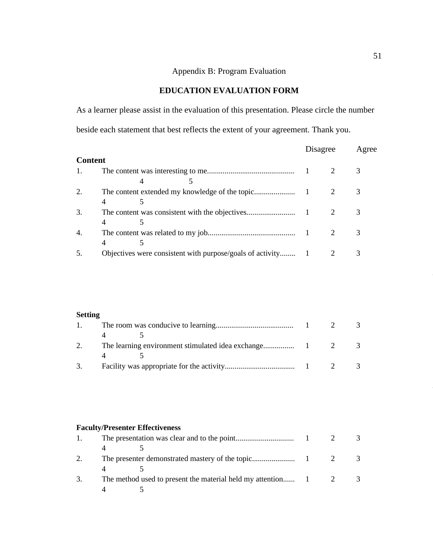# Appendix B: Program Evaluation

# **EDUCATION EVALUATION FORM**

<span id="page-62-0"></span>As a learner please assist in the evaluation of this presentation. Please circle the number beside each statement that best reflects the extent of your agreement. Thank you.

|                |                | Agree    |
|----------------|----------------|----------|
|                |                |          |
|                |                |          |
|                |                |          |
|                |                |          |
| $\overline{4}$ |                |          |
|                |                |          |
|                |                |          |
|                |                | 3        |
|                |                |          |
|                |                |          |
|                | <b>Content</b> | Disagree |

## **Setting**

|    |  | 3 |
|----|--|---|
|    |  |   |
| 3. |  |   |

## **Faculty/Presenter Effectiveness**

| 3. | The method used to present the material held my attention 1 2 |  |  |
|----|---------------------------------------------------------------|--|--|
|    |                                                               |  |  |